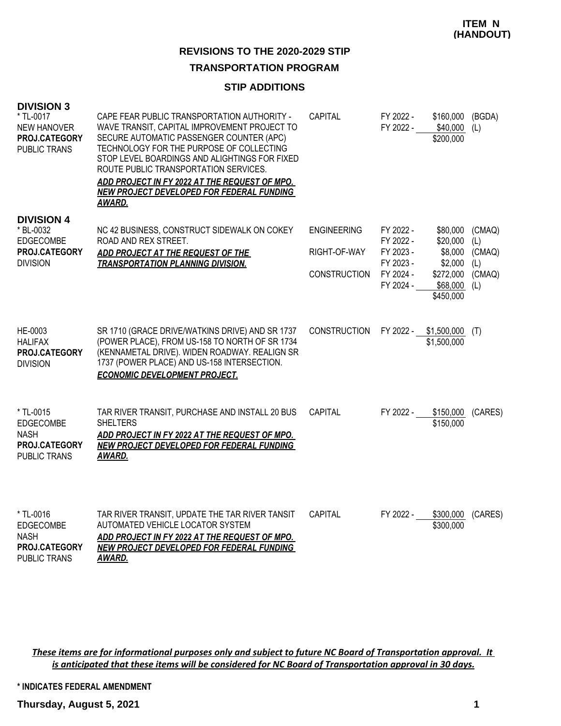### **TRANSPORTATION PROGRAM**

### **STIP ADDITIONS**

| <b>DIVISION 3</b><br>* TL-0017<br><b>NEW HANOVER</b><br>PROJ.CATEGORY<br><b>PUBLIC TRANS</b> | CAPE FEAR PUBLIC TRANSPORTATION AUTHORITY -<br>WAVE TRANSIT, CAPITAL IMPROVEMENT PROJECT TO<br>SECURE AUTOMATIC PASSENGER COUNTER (APC)<br>TECHNOLOGY FOR THE PURPOSE OF COLLECTING<br>STOP LEVEL BOARDINGS AND ALIGHTINGS FOR FIXED<br>ROUTE PUBLIC TRANSPORTATION SERVICES.<br>ADD PROJECT IN FY 2022 AT THE REQUEST OF MPO.<br><b>NEW PROJECT DEVELOPED FOR FEDERAL FUNDING</b><br>AWARD. | <b>CAPITAL</b>                                            | FY 2022 -<br>FY 2022 -                                                     | \$160,000<br>\$40,000<br>\$200,000                                               | (BGDA)<br>(L)                                   |
|----------------------------------------------------------------------------------------------|----------------------------------------------------------------------------------------------------------------------------------------------------------------------------------------------------------------------------------------------------------------------------------------------------------------------------------------------------------------------------------------------|-----------------------------------------------------------|----------------------------------------------------------------------------|----------------------------------------------------------------------------------|-------------------------------------------------|
| <b>DIVISION 4</b><br>* BL-0032<br>EDGECOMBE<br>PROJ.CATEGORY<br><b>DIVISION</b>              | NC 42 BUSINESS, CONSTRUCT SIDEWALK ON COKEY<br>ROAD AND REX STREET.<br>ADD PROJECT AT THE REQUEST OF THE<br><b>TRANSPORTATION PLANNING DIVISION.</b>                                                                                                                                                                                                                                         | <b>ENGINEERING</b><br>RIGHT-OF-WAY<br><b>CONSTRUCTION</b> | FY 2022 -<br>FY 2022 -<br>FY 2023 -<br>FY 2023 -<br>FY 2024 -<br>FY 2024 - | \$80,000<br>\$20,000<br>\$8,000<br>\$2,000<br>\$272,000<br>\$68,000<br>\$450,000 | (CMAQ)<br>(L)<br>(CMAQ)<br>(L)<br>(CMAQ)<br>(L) |
| HE-0003<br><b>HALIFAX</b><br>PROJ.CATEGORY<br><b>DIVISION</b>                                | SR 1710 (GRACE DRIVE/WATKINS DRIVE) AND SR 1737<br>(POWER PLACE), FROM US-158 TO NORTH OF SR 1734<br>(KENNAMETAL DRIVE). WIDEN ROADWAY. REALIGN SR<br>1737 (POWER PLACE) AND US-158 INTERSECTION.<br><b>ECONOMIC DEVELOPMENT PROJECT.</b>                                                                                                                                                    | <b>CONSTRUCTION</b>                                       | FY 2022 -                                                                  | \$1,500,000<br>\$1,500,000                                                       | (T)                                             |
| * TL-0015<br>EDGECOMBE<br><b>NASH</b><br>PROJ.CATEGORY<br><b>PUBLIC TRANS</b>                | TAR RIVER TRANSIT, PURCHASE AND INSTALL 20 BUS<br><b>SHELTERS</b><br>ADD PROJECT IN FY 2022 AT THE REQUEST OF MPO.<br>NEW PROJECT DEVELOPED FOR FEDERAL FUNDING<br><u>AWARD.</u>                                                                                                                                                                                                             | <b>CAPITAL</b>                                            | FY 2022 -                                                                  | \$150,000<br>\$150,000                                                           | (CARES)                                         |
| * TL-0016<br>EDGECOMBE<br><b>NASH</b><br>PROJ.CATEGORY<br>PUBLIC TRANS                       | TAR RIVER TRANSIT, UPDATE THE TAR RIVER TANSIT<br>AUTOMATED VEHICLE LOCATOR SYSTEM<br>ADD PROJECT IN FY 2022 AT THE REQUEST OF MPO.<br><b>NEW PROJECT DEVELOPED FOR FEDERAL FUNDING</b><br>AWARD.                                                                                                                                                                                            | <b>CAPITAL</b>                                            | FY 2022 -                                                                  | \$300,000<br>\$300,000                                                           | (CARES)                                         |

*These items are for informational purposes only and subject to future NC Board of Transportation approval. It is anticipated that these items will be considered for NC Board of Transportation approval in 30 days.*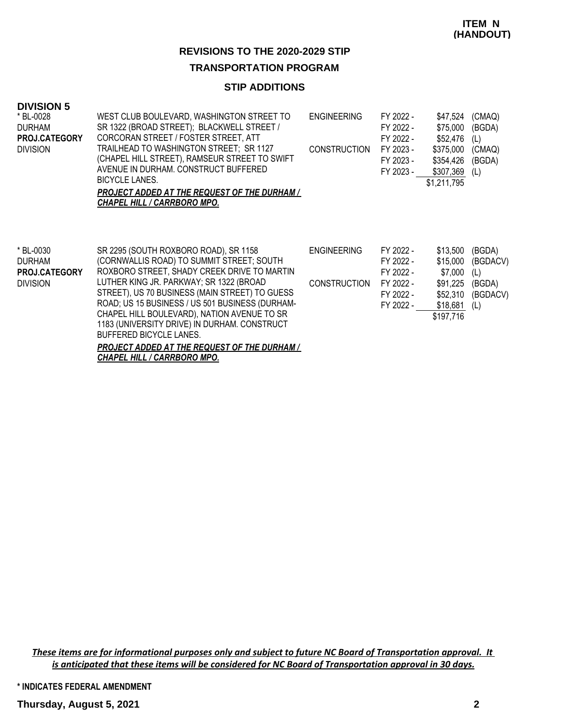#### **TRANSPORTATION PROGRAM**

# **STIP ADDITIONS**

#### **DIVISION 5**

| * BL-0028            | WEST CLUB BOULEVARD, WASHINGTON STREET TO           | <b>ENGINEERING</b>  | FY 2022 - | \$47,524    | (CMAQ) |
|----------------------|-----------------------------------------------------|---------------------|-----------|-------------|--------|
| <b>DURHAM</b>        | SR 1322 (BROAD STREET); BLACKWELL STREET /          |                     | FY 2022 - | \$75,000    | (BGDA) |
| <b>PROJ.CATEGORY</b> | CORCORAN STREET / FOSTER STREET, ATT                |                     | FY 2022 - | \$52.476    | (L)    |
| <b>DIVISION</b>      | TRAILHEAD TO WASHINGTON STREET; SR 1127             | <b>CONSTRUCTION</b> | FY 2023 - | \$375,000   | (CMAQ) |
|                      | (CHAPEL HILL STREET), RAMSEUR STREET TO SWIFT       |                     | FY 2023 - | \$354,426   | (BGDA) |
|                      | AVENUE IN DURHAM, CONSTRUCT BUFFERED                |                     | FY 2023 - | \$307,369   | (L)    |
|                      | BICYCLE LANES.                                      |                     |           | \$1,211,795 |        |
|                      | <b>PROJECT ADDED AT THE REQUEST OF THE DURHAM /</b> |                     |           |             |        |
|                      | <b>CHAPEL HILL / CARRBORO MPO.</b>                  |                     |           |             |        |
|                      |                                                     |                     |           |             |        |
|                      |                                                     |                     |           |             |        |
|                      |                                                     |                     |           |             |        |

| * BL-0030            | SR 2295 (SOUTH ROXBORO ROAD), SR 1158               | <b>ENGINEERING</b>  | FY 2022 - | \$13,500  | (BGDA)   |
|----------------------|-----------------------------------------------------|---------------------|-----------|-----------|----------|
| DURHAM               | (CORNWALLIS ROAD) TO SUMMIT STREET; SOUTH           |                     | FY 2022 - | \$15,000  | (BGDACV) |
| <b>PROJ.CATEGORY</b> | ROXBORO STREET, SHADY CREEK DRIVE TO MARTIN         |                     | FY 2022 - | \$7.000   | (L)      |
| <b>DIVISION</b>      | LUTHER KING JR. PARKWAY; SR 1322 (BROAD             | <b>CONSTRUCTION</b> | FY 2022 - | \$91,225  | (BGDA)   |
|                      | STREET), US 70 BUSINESS (MAIN STREET) TO GUESS      |                     | FY 2022 - | \$52,310  | (BGDACV) |
|                      | ROAD; US 15 BUSINESS / US 501 BUSINESS (DURHAM-     |                     | FY 2022 - | \$18,681  | (L)      |
|                      | CHAPEL HILL BOULEVARD), NATION AVENUE TO SR         |                     |           | \$197,716 |          |
|                      | 1183 (UNIVERSITY DRIVE) IN DURHAM. CONSTRUCT        |                     |           |           |          |
|                      | BUFFERED BICYCLE LANES.                             |                     |           |           |          |
|                      | <b>PROJECT ADDED AT THE REQUEST OF THE DURHAM /</b> |                     |           |           |          |

*CHAPEL HILL / CARRBORO MPO.*

*These items are for informational purposes only and subject to future NC Board of Transportation approval. It is anticipated that these items will be considered for NC Board of Transportation approval in 30 days.*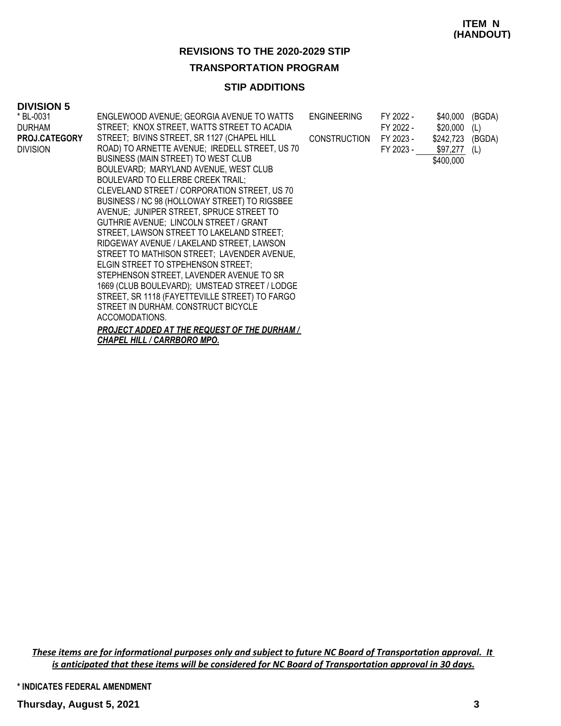# **TRANSPORTATION PROGRAM**

# **STIP ADDITIONS**

#### **DIVISION 5**

| * BL-0031       | ENGLEWOOD AVENUE; GEORGIA AVENUE TO WATTS      | <b>ENGINEERING</b>  | FY 2022 - | \$40,000         | (BGDA) |
|-----------------|------------------------------------------------|---------------------|-----------|------------------|--------|
| DURHAM          | STREET; KNOX STREET, WATTS STREET TO ACADIA    |                     | FY 2022 - | \$20,000         |        |
|                 |                                                |                     |           |                  | (L)    |
| PROJ.CATEGORY   | STREET; BIVINS STREET, SR 1127 (CHAPEL HILL    | <b>CONSTRUCTION</b> | FY 2023 - | \$242,723 (BGDA) |        |
| <b>DIVISION</b> | ROAD) TO ARNETTE AVENUE; IREDELL STREET, US 70 |                     | FY 2023 - | $$97,277$ (L)    |        |
|                 | BUSINESS (MAIN STREET) TO WEST CLUB            |                     |           | \$400,000        |        |
|                 | BOULEVARD; MARYLAND AVENUE, WEST CLUB          |                     |           |                  |        |
|                 | BOULEVARD TO ELLERBE CREEK TRAIL;              |                     |           |                  |        |
|                 | CLEVELAND STREET / CORPORATION STREET, US 70   |                     |           |                  |        |
|                 | BUSINESS / NC 98 (HOLLOWAY STREET) TO RIGSBEE  |                     |           |                  |        |
|                 | AVENUE; JUNIPER STREET, SPRUCE STREET TO       |                     |           |                  |        |
|                 | GUTHRIE AVENUE; LINCOLN STREET / GRANT         |                     |           |                  |        |
|                 | STREET, LAWSON STREET TO LAKELAND STREET;      |                     |           |                  |        |
|                 | RIDGEWAY AVENUE / LAKELAND STREET, LAWSON      |                     |           |                  |        |
|                 | STREET TO MATHISON STREET; LAVENDER AVENUE,    |                     |           |                  |        |
|                 | ELGIN STREET TO STPEHENSON STREET;             |                     |           |                  |        |
|                 | STEPHENSON STREET, LAVENDER AVENUE TO SR       |                     |           |                  |        |
|                 | 1669 (CLUB BOULEVARD); UMSTEAD STREET / LODGE  |                     |           |                  |        |
|                 | STREET, SR 1118 (FAYETTEVILLE STREET) TO FARGO |                     |           |                  |        |
|                 | STREET IN DURHAM. CONSTRUCT BICYCLE            |                     |           |                  |        |
|                 |                                                |                     |           |                  |        |
|                 | ACCOMODATIONS.                                 |                     |           |                  |        |
|                 | PROJECT ADDED AT THE REQUEST OF THE DURHAM /   |                     |           |                  |        |
|                 | <u>CHAPEL HILL / CARRBORO MPO.</u>             |                     |           |                  |        |

*These items are for informational purposes only and subject to future NC Board of Transportation approval. It is anticipated that these items will be considered for NC Board of Transportation approval in 30 days.*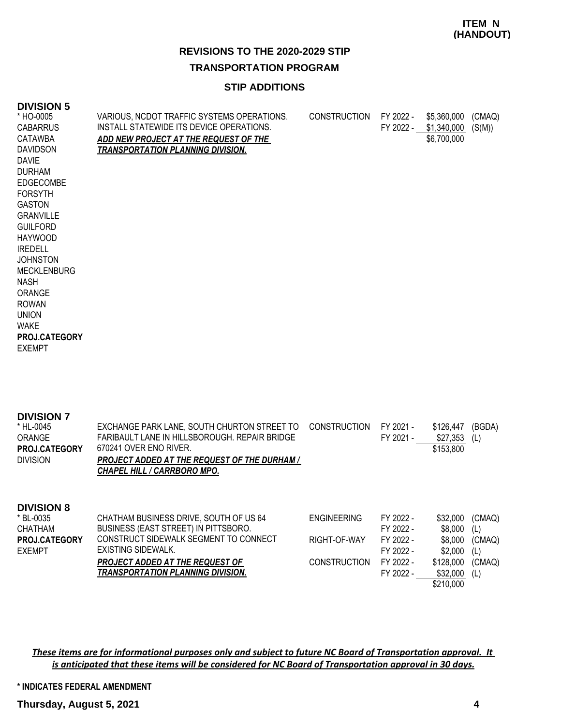### **ITEM N (HANDOUT)**

# **REVISIONS TO THE 2020-2029 STIP**

### **TRANSPORTATION PROGRAM**

## **STIP ADDITIONS**

#### **DIVISION 5**

| * HO-0005<br><b>CABARRUS</b> | VARIOUS, NCDOT TRAFFIC SYSTEMS OPERATIONS.<br>INSTALL STATEWIDE ITS DEVICE OPERATIONS. | <b>CONSTRUCTION</b> | FY 2022 -<br>FY 2022 - | \$5,360,000<br>\$1,340,000 | (CMAQ)<br>(S(M)) |
|------------------------------|----------------------------------------------------------------------------------------|---------------------|------------------------|----------------------------|------------------|
| CATAWBA                      | ADD NEW PROJECT AT THE REQUEST OF THE                                                  |                     |                        | \$6,700,000                |                  |
| <b>DAVIDSON</b>              | <b>TRANSPORTATION PLANNING DIVISION.</b>                                               |                     |                        |                            |                  |
| <b>DAVIE</b>                 |                                                                                        |                     |                        |                            |                  |
| <b>DURHAM</b>                |                                                                                        |                     |                        |                            |                  |
| <b>EDGECOMBE</b>             |                                                                                        |                     |                        |                            |                  |
| <b>FORSYTH</b>               |                                                                                        |                     |                        |                            |                  |
| <b>GASTON</b>                |                                                                                        |                     |                        |                            |                  |
| <b>GRANVILLE</b>             |                                                                                        |                     |                        |                            |                  |
| <b>GUILFORD</b>              |                                                                                        |                     |                        |                            |                  |
| HAYWOOD                      |                                                                                        |                     |                        |                            |                  |
| <b>IREDELL</b>               |                                                                                        |                     |                        |                            |                  |
| <b>JOHNSTON</b>              |                                                                                        |                     |                        |                            |                  |
| <b>MECKLENBURG</b>           |                                                                                        |                     |                        |                            |                  |
| <b>NASH</b>                  |                                                                                        |                     |                        |                            |                  |
| ORANGE                       |                                                                                        |                     |                        |                            |                  |
| <b>ROWAN</b>                 |                                                                                        |                     |                        |                            |                  |
| <b>UNION</b><br><b>WAKE</b>  |                                                                                        |                     |                        |                            |                  |
| PROJ.CATEGORY                |                                                                                        |                     |                        |                            |                  |
| <b>EXEMPT</b>                |                                                                                        |                     |                        |                            |                  |
|                              |                                                                                        |                     |                        |                            |                  |
|                              |                                                                                        |                     |                        |                            |                  |

| <b>DIVISION 7</b><br>* HL-0045<br>ORANGE<br><b>PROJ.CATEGORY</b><br><b>DIVISION</b> | EXCHANGE PARK LANE, SOUTH CHURTON STREET TO<br>FARIBAULT LANE IN HILLSBOROUGH. REPAIR BRIDGE<br>670241 OVER ENO RIVER.<br><b>PROJECT ADDED AT THE REQUEST OF THE DURHAM /</b><br><u>CHAPEL HILL / CARRBORO MPO.</u> | <b>CONSTRUCTION</b>                | FY 2021 -<br>FY 2021 -                           | \$126,447<br>\$27,353<br>\$153,800        | (BGDA)<br>(L)                  |
|-------------------------------------------------------------------------------------|---------------------------------------------------------------------------------------------------------------------------------------------------------------------------------------------------------------------|------------------------------------|--------------------------------------------------|-------------------------------------------|--------------------------------|
| <b>DIVISION 8</b><br>* BL-0035<br>CHATHAM<br><b>PROJ.CATEGORY</b><br><b>EXEMPT</b>  | CHATHAM BUSINESS DRIVE, SOUTH OF US 64<br>BUSINESS (EAST STREET) IN PITTSBORO.<br>CONSTRUCT SIDEWALK SEGMENT TO CONNECT<br>EXISTING SIDEWALK.                                                                       | <b>ENGINFERING</b><br>RIGHT-OF-WAY | FY 2022 -<br>FY 2022 -<br>FY 2022 -<br>FY 2022 - | \$32,000<br>\$8,000<br>\$8,000<br>\$2,000 | (CMAQ)<br>(L)<br>(CMAQ)<br>(L) |

*PROJECT ADDED AT THE REQUEST OF TRANSPORTATION PLANNING DIVISION.*

*These items are for informational purposes only and subject to future NC Board of Transportation approval. It is anticipated that these items will be considered for NC Board of Transportation approval in 30 days.*

**\* INDICATES FEDERAL AMENDMENT**

CONSTRUCTION FY 2022 - \$128,000 (CMAQ)

FY 2022 - \$32,000 (L)

\$210,000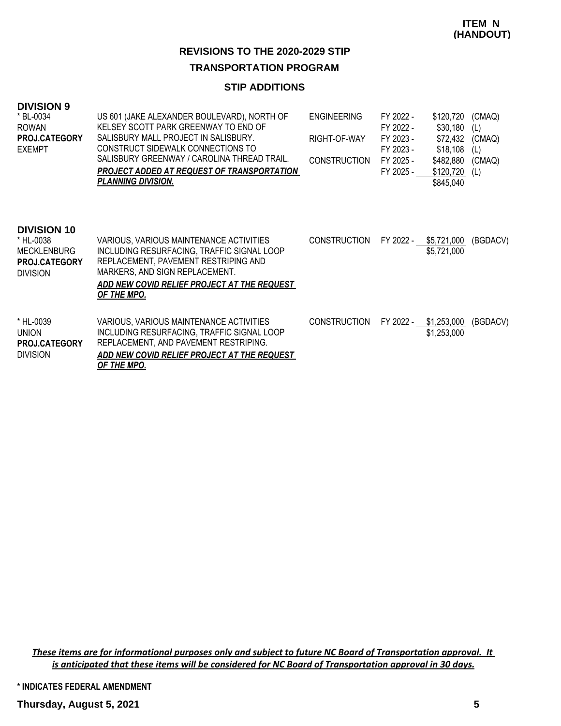### **TRANSPORTATION PROGRAM**

# **STIP ADDITIONS**

#### **DIVISION 9**

| * BL-0034<br><b>ROWAN</b><br><b>PROJ.CATEGORY</b><br><b>EXEMPT</b>                               | US 601 (JAKE ALEXANDER BOULEVARD), NORTH OF<br>KELSEY SCOTT PARK GREENWAY TO END OF<br>SALISBURY MALL PROJECT IN SALISBURY.<br>CONSTRUCT SIDEWALK CONNECTIONS TO<br>SALISBURY GREENWAY / CAROLINA THREAD TRAIL.<br><b>PROJECT ADDED AT REQUEST OF TRANSPORTATION</b><br><b>PLANNING DIVISION.</b> | <b>ENGINEERING</b><br>RIGHT-OF-WAY<br><b>CONSTRUCTION</b> | FY 2022 -<br>FY 2022 -<br>FY 2023 -<br>FY 2023 -<br>FY 2025 -<br>FY 2025 - | \$120,720<br>\$30,180<br>\$72,432<br>\$18,108<br>\$482,880<br>\$120,720<br>\$845,040 | (CMAQ)<br>(L)<br>(CMAQ)<br>(L)<br>(CMAQ)<br>(L) |
|--------------------------------------------------------------------------------------------------|---------------------------------------------------------------------------------------------------------------------------------------------------------------------------------------------------------------------------------------------------------------------------------------------------|-----------------------------------------------------------|----------------------------------------------------------------------------|--------------------------------------------------------------------------------------|-------------------------------------------------|
| <b>DIVISION 10</b><br>* HL-0038<br><b>MECKLENBURG</b><br><b>PROJ.CATEGORY</b><br><b>DIVISION</b> | VARIOUS, VARIOUS MAINTENANCE ACTIVITIES<br>INCLUDING RESURFACING, TRAFFIC SIGNAL LOOP<br>REPLACEMENT, PAVEMENT RESTRIPING AND<br>MARKERS, AND SIGN REPLACEMENT.<br>ADD NEW COVID RELIEF PROJECT AT THE REQUEST<br>OF THE MPO.                                                                     | <b>CONSTRUCTION</b>                                       | FY 2022 -                                                                  | \$5,721,000<br>\$5,721,000                                                           | (BGDACV)                                        |
| * HL-0039<br><b>UNION</b><br><b>PROJ.CATEGORY</b><br><b>DIVISION</b>                             | VARIOUS, VARIOUS MAINTENANCE ACTIVITIES<br>INCLUDING RESURFACING, TRAFFIC SIGNAL LOOP<br>REPLACEMENT, AND PAVEMENT RESTRIPING.<br>ADD NEW COVID RELIEF PROJECT AT THE REQUEST<br>OF THE MPO.                                                                                                      | <b>CONSTRUCTION</b>                                       | FY 2022 -                                                                  | \$1,253,000<br>\$1,253,000                                                           | (BGDACV)                                        |

*These items are for informational purposes only and subject to future NC Board of Transportation approval. It is anticipated that these items will be considered for NC Board of Transportation approval in 30 days.*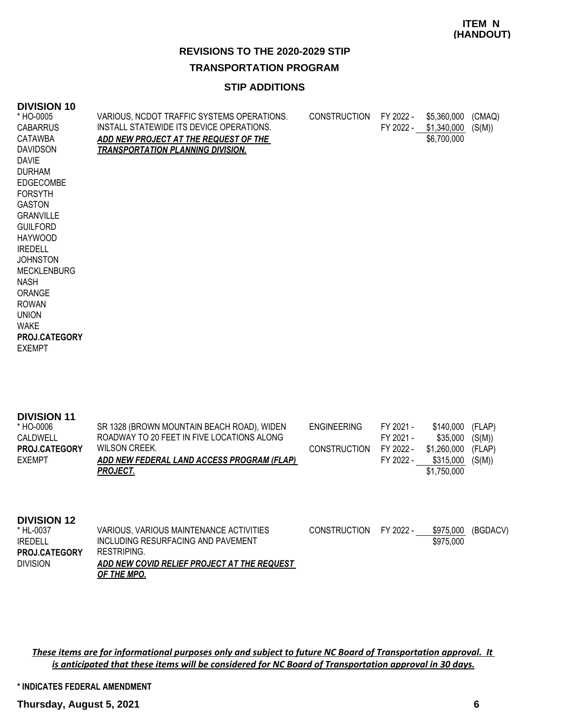### **ITEM N (HANDOUT)**

# **REVISIONS TO THE 2020-2029 STIP**

### **TRANSPORTATION PROGRAM**

# **STIP ADDITIONS**

#### **DIVISION 10**

| * HO-0005            | VARIOUS, NCDOT TRAFFIC SYSTEMS OPERATIONS. | <b>CONSTRUCTION</b> | FY 2022 - | \$5,360,000 | (CMAQ) |
|----------------------|--------------------------------------------|---------------------|-----------|-------------|--------|
| <b>CABARRUS</b>      | INSTALL STATEWIDE ITS DEVICE OPERATIONS.   |                     | FY 2022 - | \$1,340,000 | (S(M)) |
| CATAWBA              | ADD NEW PROJECT AT THE REQUEST OF THE      |                     |           | \$6,700,000 |        |
| <b>DAVIDSON</b>      | <u>TRANSPORTATION PLANNING DIVISION.</u>   |                     |           |             |        |
| <b>DAVIE</b>         |                                            |                     |           |             |        |
| <b>DURHAM</b>        |                                            |                     |           |             |        |
| <b>EDGECOMBE</b>     |                                            |                     |           |             |        |
| <b>FORSYTH</b>       |                                            |                     |           |             |        |
| <b>GASTON</b>        |                                            |                     |           |             |        |
| <b>GRANVILLE</b>     |                                            |                     |           |             |        |
| <b>GUILFORD</b>      |                                            |                     |           |             |        |
| <b>HAYWOOD</b>       |                                            |                     |           |             |        |
| <b>IREDELL</b>       |                                            |                     |           |             |        |
| <b>JOHNSTON</b>      |                                            |                     |           |             |        |
| <b>MECKLENBURG</b>   |                                            |                     |           |             |        |
| NASH                 |                                            |                     |           |             |        |
| ORANGE               |                                            |                     |           |             |        |
| <b>ROWAN</b>         |                                            |                     |           |             |        |
| <b>UNION</b>         |                                            |                     |           |             |        |
| <b>WAKE</b>          |                                            |                     |           |             |        |
| <b>PROJ.CATEGORY</b> |                                            |                     |           |             |        |
| <b>EXEMPT</b>        |                                            |                     |           |             |        |
|                      |                                            |                     |           |             |        |
|                      |                                            |                     |           |             |        |

| <b>DIVISION 11</b><br>* HO-0006<br>CALDWELL | SR 1328 (BROWN MOUNTAIN BEACH ROAD), WIDEN<br>ROADWAY TO 20 FEET IN FIVE LOCATIONS ALONG | <b>ENGINEERING</b>  | FY 2021 -<br>FY 2021 - | \$140.000<br>\$35.000    | (FLAP)<br>(S(M)) |
|---------------------------------------------|------------------------------------------------------------------------------------------|---------------------|------------------------|--------------------------|------------------|
| <b>PROJ.CATEGORY</b><br><b>EXEMPT</b>       | WILSON CREEK.<br>ADD NEW FEDERAL LAND ACCESS PROGRAM (FLAP)                              | <b>CONSTRUCTION</b> | FY 2022 -<br>FY 2022 - | \$1,260,000<br>\$315,000 | (FLAP)<br>(S(M)) |
|                                             | <b>PROJECT.</b>                                                                          |                     |                        | \$1,750,000              |                  |
|                                             |                                                                                          |                     |                        |                          |                  |
| <b>DIVISION 12</b>                          |                                                                                          |                     |                        |                          |                  |

| * HL-0037            | VARIOUS. VARIOUS MAINTENANCE ACTIVITIES     | <b>CONSTRUCTION</b> | FY 2022 - | \$975.000 | (BGDACV) |
|----------------------|---------------------------------------------|---------------------|-----------|-----------|----------|
| <b>IREDELL</b>       | INCLUDING RESURFACING AND PAVEMENT          |                     |           | \$975,000 |          |
| <b>PROJ.CATEGORY</b> | RESTRIPING.                                 |                     |           |           |          |
| <b>DIVISION</b>      | ADD NEW COVID RELIEF PROJECT AT THE REQUEST |                     |           |           |          |
|                      | OF THE MPO.                                 |                     |           |           |          |

*These items are for informational purposes only and subject to future NC Board of Transportation approval. It is anticipated that these items will be considered for NC Board of Transportation approval in 30 days.*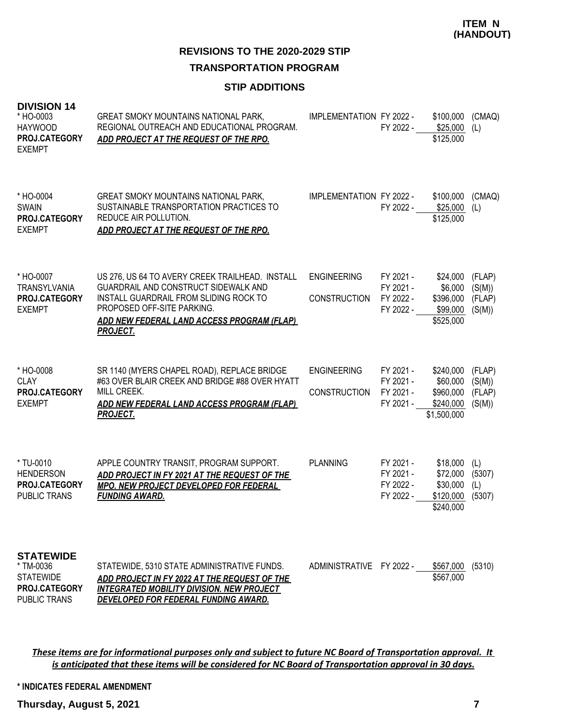**TRANSPORTATION PROGRAM**

### **STIP ADDITIONS**

| <b>DIVISION 14</b><br>* HO-0003<br><b>HAYWOOD</b><br>PROJ.CATEGORY<br><b>EXEMPT</b>       | GREAT SMOKY MOUNTAINS NATIONAL PARK,<br>REGIONAL OUTREACH AND EDUCATIONAL PROGRAM.<br>ADD PROJECT AT THE REQUEST OF THE RPO.                                                                                                     | IMPLEMENTATION FY 2022 -                  | FY 2022 -                                        | \$100,000<br>\$25,000<br>\$125,000                             | (CMAQ)<br>(L)                        |
|-------------------------------------------------------------------------------------------|----------------------------------------------------------------------------------------------------------------------------------------------------------------------------------------------------------------------------------|-------------------------------------------|--------------------------------------------------|----------------------------------------------------------------|--------------------------------------|
| * HO-0004<br><b>SWAIN</b><br>PROJ.CATEGORY<br><b>EXEMPT</b>                               | <b>GREAT SMOKY MOUNTAINS NATIONAL PARK,</b><br>SUSTAINABLE TRANSPORTATION PRACTICES TO<br>REDUCE AIR POLLUTION.<br>ADD PROJECT AT THE REQUEST OF THE RPO.                                                                        | IMPLEMENTATION FY 2022 -                  | FY 2022 - \$25,000                               | \$100,000<br>\$125,000                                         | (CMAQ)<br>(L)                        |
| * HO-0007<br><b>TRANSYLVANIA</b><br>PROJ.CATEGORY<br><b>EXEMPT</b>                        | US 276, US 64 TO AVERY CREEK TRAILHEAD. INSTALL<br>GUARDRAIL AND CONSTRUCT SIDEWALK AND<br>INSTALL GUARDRAIL FROM SLIDING ROCK TO<br>PROPOSED OFF-SITE PARKING.<br>ADD NEW FEDERAL LAND ACCESS PROGRAM (FLAP)<br><b>PROJECT.</b> | <b>ENGINEERING</b><br><b>CONSTRUCTION</b> | FY 2021 -<br>FY 2021 -<br>FY 2022 -<br>FY 2022 - | \$24,000<br>\$6,000<br>\$396,000<br>\$99,000<br>\$525,000      | (FLAP)<br>(S(M))<br>(FLAP)<br>(S(M)) |
| * HO-0008<br><b>CLAY</b><br>PROJ.CATEGORY<br><b>EXEMPT</b>                                | SR 1140 (MYERS CHAPEL ROAD), REPLACE BRIDGE<br>#63 OVER BLAIR CREEK AND BRIDGE #88 OVER HYATT<br>MILL CREEK.<br>ADD NEW FEDERAL LAND ACCESS PROGRAM (FLAP)<br><u>PROJECT.</u>                                                    | <b>ENGINEERING</b><br><b>CONSTRUCTION</b> | FY 2021 -<br>FY 2021 -<br>FY 2021 -<br>FY 2021 - | \$240,000<br>\$60,000<br>\$960,000<br>\$240,000<br>\$1,500,000 | (FLAP)<br>(S(M))<br>(FLAP)<br>(S(M)) |
| * TU-0010<br><b>HENDERSON</b><br>PROJ.CATEGORY<br><b>PUBLIC TRANS</b>                     | APPLE COUNTRY TRANSIT, PROGRAM SUPPORT.<br>ADD PROJECT IN FY 2021 AT THE REQUEST OF THE<br>MPO. NEW PROJECT DEVELOPED FOR FEDERAL<br><b>FUNDING AWARD.</b>                                                                       | <b>PLANNING</b>                           | FY 2021 -<br>FY 2021 -<br>FY 2022 -<br>FY 2022 - | \$18,000<br>\$72,000<br>\$30,000<br>\$120,000<br>\$240,000     | (L)<br>(5307)<br>(L)<br>(5307)       |
| <b>STATEWIDE</b><br>* TM-0036<br><b>STATEWIDE</b><br>PROJ.CATEGORY<br><b>PUBLIC TRANS</b> | STATEWIDE, 5310 STATE ADMINISTRATIVE FUNDS.<br>ADD PROJECT IN FY 2022 AT THE REQUEST OF THE<br><b>INTEGRATED MOBILITY DIVISION. NEW PROJECT</b><br>DEVELOPED FOR FEDERAL FUNDING AWARD.                                          | ADMINISTRATIVE FY 2022 -                  |                                                  | \$567,000<br>\$567,000                                         | (5310)                               |

*These items are for informational purposes only and subject to future NC Board of Transportation approval. It is anticipated that these items will be considered for NC Board of Transportation approval in 30 days.*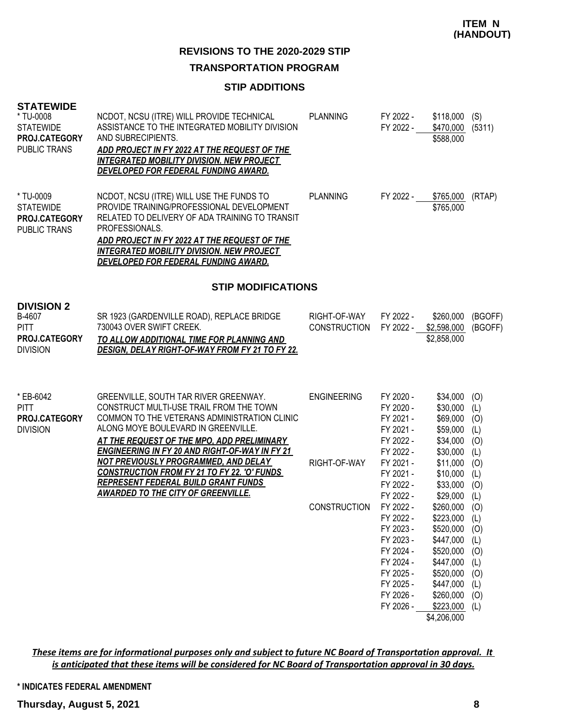### **TRANSPORTATION PROGRAM**

### **STIP ADDITIONS**

### **STATEWIDE**

| <b>SIAIEWIDE</b><br>* TU-0008<br><b>STATEWIDE</b><br>PROJ.CATEGORY<br><b>PUBLIC TRANS</b> | NCDOT, NCSU (ITRE) WILL PROVIDE TECHNICAL<br>ASSISTANCE TO THE INTEGRATED MOBILITY DIVISION<br>AND SUBRECIPIENTS.<br>ADD PROJECT IN FY 2022 AT THE REQUEST OF THE<br><b>INTEGRATED MOBILITY DIVISION, NEW PROJECT</b><br>DEVELOPED FOR FEDERAL FUNDING AWARD.                                                          | <b>PLANNING</b>                     | FY 2022 -<br>FY 2022 -                                                                                                         | $$118,000$ (S)<br>\$470,000 (5311)<br>\$588,000                                                                                                        |                                                      |
|-------------------------------------------------------------------------------------------|------------------------------------------------------------------------------------------------------------------------------------------------------------------------------------------------------------------------------------------------------------------------------------------------------------------------|-------------------------------------|--------------------------------------------------------------------------------------------------------------------------------|--------------------------------------------------------------------------------------------------------------------------------------------------------|------------------------------------------------------|
| * TU-0009<br><b>STATEWIDE</b><br>PROJ.CATEGORY<br><b>PUBLIC TRANS</b>                     | NCDOT, NCSU (ITRE) WILL USE THE FUNDS TO<br>PROVIDE TRAINING/PROFESSIONAL DEVELOPMENT<br>RELATED TO DELIVERY OF ADA TRAINING TO TRANSIT<br>PROFESSIONALS.<br>ADD PROJECT IN FY 2022 AT THE REQUEST OF THE<br><b>INTEGRATED MOBILITY DIVISION. NEW PROJECT</b><br><u>DEVELOPED FOR FEDERAL FUNDING AWARD.</u>           | <b>PLANNING</b>                     | FY 2022 -                                                                                                                      | \$765,000<br>\$765,000                                                                                                                                 | (RTAP)                                               |
|                                                                                           | <b>STIP MODIFICATIONS</b>                                                                                                                                                                                                                                                                                              |                                     |                                                                                                                                |                                                                                                                                                        |                                                      |
| <b>DIVISION 2</b><br>B-4607<br><b>PITT</b><br>PROJ.CATEGORY<br><b>DIVISION</b>            | SR 1923 (GARDENVILLE ROAD), REPLACE BRIDGE<br>730043 OVER SWIFT CREEK.<br>TO ALLOW ADDITIONAL TIME FOR PLANNING AND<br><b>DESIGN, DELAY RIGHT-OF-WAY FROM FY 21 TO FY 22.</b>                                                                                                                                          | RIGHT-OF-WAY<br><b>CONSTRUCTION</b> | FY 2022 -<br>FY 2022 -                                                                                                         | \$260,000<br>\$2,598,000<br>\$2,858,000                                                                                                                | (BGOFF)<br>(BGOFF)                                   |
| * EB-6042<br><b>PITT</b><br>PROJ.CATEGORY<br><b>DIVISION</b>                              | GREENVILLE, SOUTH TAR RIVER GREENWAY.<br>CONSTRUCT MULTI-USE TRAIL FROM THE TOWN<br>COMMON TO THE VETERANS ADMINISTRATION CLINIC<br>ALONG MOYE BOULEVARD IN GREENVILLE.<br>AT THE REQUEST OF THE MPO, ADD PRELIMINARY<br><b>ENGINEERING IN FY 20 AND RIGHT-OF-WAY IN FY 21</b><br>NOT PREVIOUSLY PROGRAMMED, AND DELAY | <b>ENGINEERING</b>                  | FY 2020 -<br>FY 2020 -<br>FY 2021 -<br>FY 2021 -<br>FY 2022 -<br>FY 2022 -                                                     | \$34,000<br>\$30,000<br>\$69,000<br>\$59,000<br>\$34,000<br>\$30,000                                                                                   | (O)<br>(L)<br>(O)<br>(L)<br>(0)<br>(L)               |
|                                                                                           | <b>CONSTRUCTION FROM FY 21 TO FY 22. 'O' FUNDS</b><br><b>REPRESENT FEDERAL BUILD GRANT FUNDS</b><br><b>AWARDED TO THE CITY OF GREENVILLE.</b>                                                                                                                                                                          | RIGHT-OF-WAY                        | FY 2021 -<br>FY 2021 -<br>FY 2022 -<br>FY 2022 -                                                                               | \$11,000<br>\$10,000<br>\$33,000<br>\$29,000                                                                                                           | (0)<br>(L)<br>(O)<br>(L)                             |
|                                                                                           |                                                                                                                                                                                                                                                                                                                        | <b>CONSTRUCTION</b>                 | FY 2022 -<br>FY 2022 -<br>FY 2023 -<br>FY 2023 -<br>FY 2024 -<br>FY 2024 -<br>FY 2025 -<br>FY 2025 -<br>FY 2026 -<br>FY 2026 - | $$260,000$ (O)<br>\$223,000 (L)<br>\$520,000<br>\$447,000<br>\$520,000<br>\$447,000<br>\$520,000<br>\$447,000<br>\$260,000<br>\$223,000<br>\$4,206,000 | (O)<br>(L)<br>(O)<br>(L)<br>(O)<br>(L)<br>(O)<br>(L) |

*These items are for informational purposes only and subject to future NC Board of Transportation approval. It is anticipated that these items will be considered for NC Board of Transportation approval in 30 days.*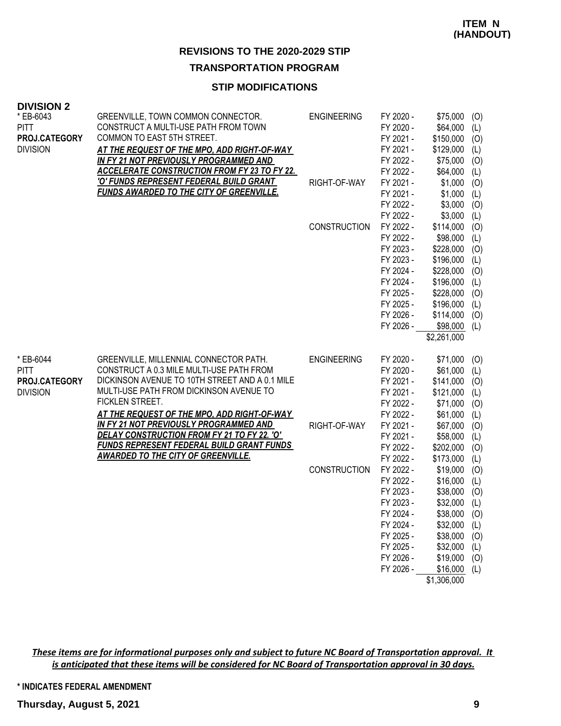### **TRANSPORTATION PROGRAM**

# **STIP MODIFICATIONS**

| <b>DIVISION 2</b> |                                                     |                     |           |                |     |
|-------------------|-----------------------------------------------------|---------------------|-----------|----------------|-----|
| * EB-6043         | GREENVILLE, TOWN COMMON CONNECTOR.                  | <b>ENGINEERING</b>  | FY 2020 - | \$75,000       | (O) |
| <b>PITT</b>       | CONSTRUCT A MULTI-USE PATH FROM TOWN                |                     | FY 2020 - | \$64,000       | (L) |
| PROJ.CATEGORY     | COMMON TO EAST 5TH STREET.                          |                     | FY 2021 - | \$150,000      | (0) |
| <b>DIVISION</b>   | AT THE REQUEST OF THE MPO, ADD RIGHT-OF-WAY         |                     | FY 2021 - | \$129,000      | (L) |
|                   | IN FY 21 NOT PREVIOUSLY PROGRAMMED AND              |                     | FY 2022 - | \$75,000       | (0) |
|                   | <b>ACCELERATE CONSTRUCTION FROM FY 23 TO FY 22.</b> |                     | FY 2022 - | \$64,000       | (L) |
|                   | <u>'O' FUNDS REPRESENT FEDERAL BUILD GRANT</u>      | RIGHT-OF-WAY        | FY 2021 - | \$1,000        | (0) |
|                   | <b>FUNDS AWARDED TO THE CITY OF GREENVILLE.</b>     |                     | FY 2021 - | \$1,000        | (L) |
|                   |                                                     |                     | FY 2022 - | \$3,000        | (0) |
|                   |                                                     |                     | FY 2022 - | \$3,000        | (L) |
|                   |                                                     | <b>CONSTRUCTION</b> | FY 2022 - | \$114,000      | (O) |
|                   |                                                     |                     | FY 2022 - | \$98,000       | (L) |
|                   |                                                     |                     | FY 2023 - | $$228,000$ (O) |     |
|                   |                                                     |                     | FY 2023 - | \$196,000      | (L) |
|                   |                                                     |                     | FY 2024 - | \$228,000      | (O) |
|                   |                                                     |                     | FY 2024 - | \$196,000      | (L) |
|                   |                                                     |                     | FY 2025 - | \$228,000      | (0) |
|                   |                                                     |                     | FY 2025 - | \$196,000      | (L) |
|                   |                                                     |                     | FY 2026 - | \$114,000      | (O) |
|                   |                                                     |                     | FY 2026 - | $$98,000$ (L)  |     |
|                   |                                                     |                     |           | \$2,261,000    |     |
| * EB-6044         | GREENVILLE, MILLENNIAL CONNECTOR PATH.              | <b>ENGINEERING</b>  | FY 2020 - | \$71,000       | (0) |
| <b>PITT</b>       | CONSTRUCT A 0.3 MILE MULTI-USE PATH FROM            |                     | FY 2020 - | $$61,000$ (L)  |     |
| PROJ.CATEGORY     | DICKINSON AVENUE TO 10TH STREET AND A 0.1 MILE      |                     | FY 2021 - | \$141,000      | (0) |
| <b>DIVISION</b>   | MULTI-USE PATH FROM DICKINSON AVENUE TO             |                     | FY 2021 - | \$121,000      | (L) |
|                   | FICKLEN STREET.                                     |                     | FY 2022 - | \$71,000       | (0) |
|                   | AT THE REQUEST OF THE MPO, ADD RIGHT-OF-WAY         |                     | FY 2022 - | $$61,000$ (L)  |     |
|                   | IN FY 21 NOT PREVIOUSLY PROGRAMMED AND              | RIGHT-OF-WAY        | FY 2021 - | \$67,000 (O)   |     |
|                   | DELAY CONSTRUCTION FROM FY 21 TO FY 22. 'O'         |                     | FY 2021 - | \$58,000       | (L) |
|                   | <b>FUNDS REPRESENT FEDERAL BUILD GRANT FUNDS</b>    |                     | FY 2022 - | \$202,000      | (0) |
|                   | <b>AWARDED TO THE CITY OF GREENVILLE.</b>           |                     | FY 2022 - | \$173,000      | (L) |
|                   |                                                     | <b>CONSTRUCTION</b> | FY 2022 - | $$19,000$ (O)  |     |
|                   |                                                     |                     | FY 2022 - | \$16,000       | (L) |
|                   |                                                     |                     | FY 2023 - | \$38,000       | (O) |
|                   |                                                     |                     | FY 2023 - | \$32,000       | (L) |
|                   |                                                     |                     | FY 2024 - | $$38,000$ (O)  |     |
|                   |                                                     |                     | FY 2024 - | \$32,000       | (L) |
|                   |                                                     |                     | FY 2025 - | \$38,000       | (0) |
|                   |                                                     |                     | FY 2025 - | \$32,000       | (L) |
|                   |                                                     |                     | FY 2026 - | \$19,000       | (0) |
|                   |                                                     |                     | FY 2026 - | $$16,000$ (L)  |     |
|                   |                                                     |                     |           |                |     |

\$1,306,000

*These items are for informational purposes only and subject to future NC Board of Transportation approval. It is anticipated that these items will be considered for NC Board of Transportation approval in 30 days.*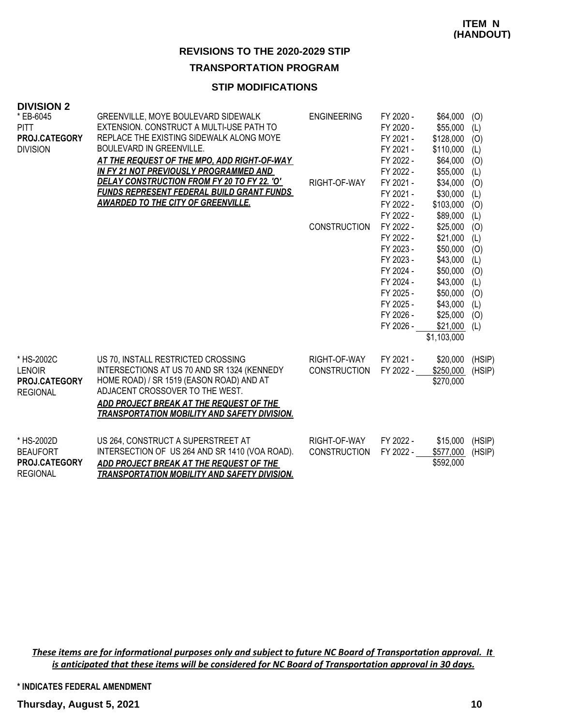### **TRANSPORTATION PROGRAM**

# **STIP MODIFICATIONS**

#### **DIVISION 2**

| * EB-6045<br><b>PITT</b>         | GREENVILLE, MOYE BOULEVARD SIDEWALK<br>EXTENSION. CONSTRUCT A MULTI-USE PATH TO | <b>ENGINEERING</b>  | FY 2020 -<br>FY 2020 - | \$64,000<br>\$55,000   | (O)<br>(L) |
|----------------------------------|---------------------------------------------------------------------------------|---------------------|------------------------|------------------------|------------|
| PROJ.CATEGORY<br><b>DIVISION</b> | REPLACE THE EXISTING SIDEWALK ALONG MOYE<br><b>BOULEVARD IN GREENVILLE.</b>     |                     | FY 2021 -<br>FY 2021 - | \$128,000<br>\$110,000 | (O)<br>(L) |
|                                  | AT THE REQUEST OF THE MPO, ADD RIGHT-OF-WAY                                     |                     | FY 2022 -              | \$64,000               | (O)        |
|                                  | IN FY 21 NOT PREVIOUSLY PROGRAMMED AND                                          |                     | FY 2022 -              | \$55,000               | (L)        |
|                                  | DELAY CONSTRUCTION FROM FY 20 TO FY 22. 'O'                                     | RIGHT-OF-WAY        | FY 2021 -              | \$34,000               | (O)        |
|                                  | <b>FUNDS REPRESENT FEDERAL BUILD GRANT FUNDS</b>                                |                     | FY 2021 -              | \$30,000               | (L)        |
|                                  | <b>AWARDED TO THE CITY OF GREENVILLE.</b>                                       |                     | FY 2022 -              | \$103,000              | (O)        |
|                                  |                                                                                 |                     | FY 2022 -              | \$89,000               | (L)        |
|                                  |                                                                                 | <b>CONSTRUCTION</b> | FY 2022 -              | \$25,000               | (O)        |
|                                  |                                                                                 |                     | FY 2022 -              | \$21,000               | (L)        |
|                                  |                                                                                 |                     | FY 2023 -              | \$50,000               | (O)        |
|                                  |                                                                                 |                     | FY 2023 -              | \$43,000               | (L)        |
|                                  |                                                                                 |                     | FY 2024 -              | \$50,000               | (O)        |
|                                  |                                                                                 |                     | FY 2024 -              | \$43,000               | (L)        |
|                                  |                                                                                 |                     | FY 2025 -              | \$50,000               | (O)        |
|                                  |                                                                                 |                     | FY 2025 -              | \$43,000               | (L)        |
|                                  |                                                                                 |                     | FY 2026 -              | \$25,000               | (O)        |
|                                  |                                                                                 |                     | FY 2026 -              | \$21,000               | (L)        |
|                                  |                                                                                 |                     |                        | \$1,103,000            |            |
| * HS-2002C                       | US 70, INSTALL RESTRICTED CROSSING                                              | RIGHT-OF-WAY        | FY 2021 -              | \$20,000               | (HSIP)     |
| <b>LENOIR</b>                    | INTERSECTIONS AT US 70 AND SR 1324 (KENNEDY                                     | <b>CONSTRUCTION</b> | FY 2022 -              | \$250,000              | (HSIP)     |
| <b>PROJ.CATEGORY</b>             | HOME ROAD) / SR 1519 (EASON ROAD) AND AT                                        |                     |                        | \$270,000              |            |
| <b>REGIONAL</b>                  | ADJACENT CROSSOVER TO THE WEST.                                                 |                     |                        |                        |            |
|                                  | ADD PROJECT BREAK AT THE REQUEST OF THE                                         |                     |                        |                        |            |
|                                  | <b>TRANSPORTATION MOBILITY AND SAFETY DIVISION.</b>                             |                     |                        |                        |            |
| * HS-2002D                       | US 264, CONSTRUCT A SUPERSTREET AT                                              | RIGHT-OF-WAY        | FY 2022 -              | \$15,000               | (HSIP)     |
| <b>BEAUFORT</b>                  | INTERSECTION OF US 264 AND SR 1410 (VOA ROAD).                                  | <b>CONSTRUCTION</b> | FY 2022 -              | \$577,000              | (HSIP)     |
| PROJ.CATEGORY                    | ADD PROJECT BREAK AT THE REQUEST OF THE                                         |                     |                        | \$592,000              |            |
| <b>REGIONAL</b>                  | <b>TRANSPORTATION MOBILITY AND SAFETY DIVISION.</b>                             |                     |                        |                        |            |

*These items are for informational purposes only and subject to future NC Board of Transportation approval. It is anticipated that these items will be considered for NC Board of Transportation approval in 30 days.*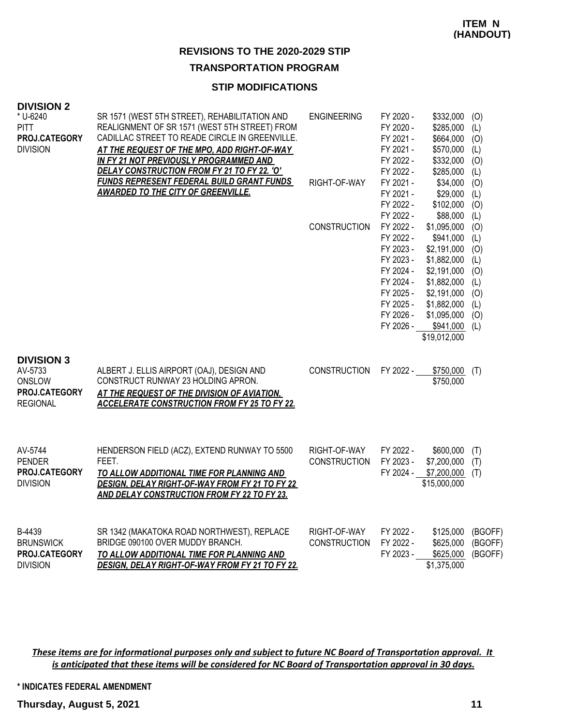### **TRANSPORTATION PROGRAM**

### **STIP MODIFICATIONS**

| <b>DIVISION 2</b>                                                          |                                                                                                                                                                                                                                                                                          |                                     |                                                                                                                                |                                                                                                                                                                |                                                                    |
|----------------------------------------------------------------------------|------------------------------------------------------------------------------------------------------------------------------------------------------------------------------------------------------------------------------------------------------------------------------------------|-------------------------------------|--------------------------------------------------------------------------------------------------------------------------------|----------------------------------------------------------------------------------------------------------------------------------------------------------------|--------------------------------------------------------------------|
| * U-6240<br><b>PITT</b><br>PROJ.CATEGORY<br><b>DIVISION</b>                | SR 1571 (WEST 5TH STREET), REHABILITATION AND<br>REALIGNMENT OF SR 1571 (WEST 5TH STREET) FROM<br>CADILLAC STREET TO READE CIRCLE IN GREENVILLE.<br>AT THE REQUEST OF THE MPO, ADD RIGHT-OF-WAY<br>IN FY 21 NOT PREVIOUSLY PROGRAMMED AND<br>DELAY CONSTRUCTION FROM FY 21 TO FY 22. 'O' | <b>ENGINEERING</b>                  | FY 2020 -<br>FY 2020 -<br>FY 2021 -<br>FY 2021 -<br>FY 2022 -<br>FY 2022 -                                                     | \$332,000<br>\$285,000<br>\$664,000<br>\$570,000<br>\$332,000<br>\$285,000                                                                                     | (O)<br>(L)<br>(O)<br>(L)<br>(O)<br>(L)                             |
|                                                                            | <b>FUNDS REPRESENT FEDERAL BUILD GRANT FUNDS</b><br>AWARDED TO THE CITY OF GREENVILLE.                                                                                                                                                                                                   | RIGHT-OF-WAY                        | FY 2021 -<br>FY 2021 -<br>FY 2022 -<br>FY 2022 -                                                                               | \$34,000<br>\$29,000<br>\$102,000<br>\$88,000                                                                                                                  | (O)<br>(L)<br>(O)<br>(L)                                           |
|                                                                            |                                                                                                                                                                                                                                                                                          | <b>CONSTRUCTION</b>                 | FY 2022 -<br>FY 2022 -<br>FY 2023 -<br>FY 2023 -<br>FY 2024 -<br>FY 2024 -<br>FY 2025 -<br>FY 2025 -<br>FY 2026 -<br>FY 2026 - | \$1,095,000<br>\$941,000<br>\$2,191,000<br>\$1,882,000<br>\$2,191,000<br>\$1,882,000<br>\$2,191,000<br>\$1,882,000<br>\$1,095,000<br>\$941,000<br>\$19,012,000 | (O)<br>(L)<br>(O)<br>(L)<br>(0)<br>(L)<br>(O)<br>(L)<br>(O)<br>(L) |
| <b>DIVISION 3</b><br>AV-5733<br>ONSLOW<br>PROJ.CATEGORY<br><b>REGIONAL</b> | ALBERT J. ELLIS AIRPORT (OAJ), DESIGN AND<br>CONSTRUCT RUNWAY 23 HOLDING APRON.<br>AT THE REQUEST OF THE DIVISION OF AVIATION.<br><b>ACCELERATE CONSTRUCTION FROM FY 25 TO FY 22.</b>                                                                                                    | <b>CONSTRUCTION</b>                 | FY 2022 -                                                                                                                      | \$750,000<br>\$750,000                                                                                                                                         | (T)                                                                |
| AV-5744<br><b>PENDER</b><br>PROJ.CATEGORY<br><b>DIVISION</b>               | HENDERSON FIELD (ACZ), EXTEND RUNWAY TO 5500<br>FEET.<br>TO ALLOW ADDITIONAL TIME FOR PLANNING AND<br><b>DESIGN, DELAY RIGHT-OF-WAY FROM FY 21 TO FY 22</b><br>AND DELAY CONSTRUCTION FROM FY 22 TO FY 23.                                                                               | RIGHT-OF-WAY<br><b>CONSTRUCTION</b> | FY 2022 -<br>FY 2023 -<br>FY 2024 -                                                                                            | \$600,000<br>\$7,200,000<br>\$7,200,000<br>\$15,000,000                                                                                                        | (T)<br>(T)<br>(T)                                                  |
| B-4439<br><b>BRUNSWICK</b><br>PROJ.CATEGORY<br><b>DIVISION</b>             | SR 1342 (MAKATOKA ROAD NORTHWEST), REPLACE<br>BRIDGE 090100 OVER MUDDY BRANCH.<br>TO ALLOW ADDITIONAL TIME FOR PLANNING AND<br><b>DESIGN, DELAY RIGHT-OF-WAY FROM FY 21 TO FY 22.</b>                                                                                                    | RIGHT-OF-WAY<br><b>CONSTRUCTION</b> | FY 2022 -<br>FY 2022 -<br>FY 2023 -                                                                                            | \$125,000<br>\$625,000<br>\$625,000<br>\$1,375,000                                                                                                             | (BGOFF)<br>(BGOFF)<br>(BGOFF)                                      |

*These items are for informational purposes only and subject to future NC Board of Transportation approval. It is anticipated that these items will be considered for NC Board of Transportation approval in 30 days.*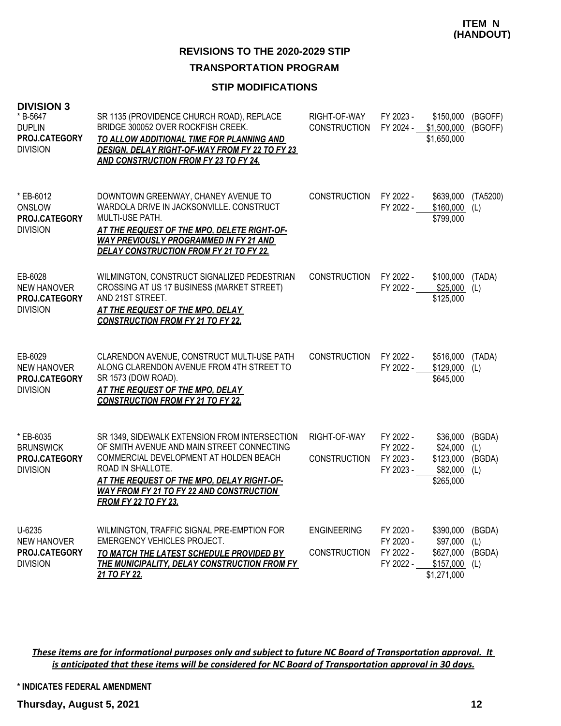### **TRANSPORTATION PROGRAM**

### **STIP MODIFICATIONS**

| <b>DIVISION 3</b><br>* B-5647<br><b>DUPLIN</b><br>PROJ.CATEGORY<br><b>DIVISION</b> | SR 1135 (PROVIDENCE CHURCH ROAD), REPLACE<br>BRIDGE 300052 OVER ROCKFISH CREEK.<br>TO ALLOW ADDITIONAL TIME FOR PLANNING AND<br><b>DESIGN, DELAY RIGHT-OF-WAY FROM FY 22 TO FY 23</b><br><b>AND CONSTRUCTION FROM FY 23 TO FY 24.</b>                                                      | RIGHT-OF-WAY<br><b>CONSTRUCTION</b>       | FY 2023 -<br>FY 2024 -                           | \$150,000<br>\$1,500,000<br>\$1,650,000                        | (BGOFF)<br>(BGOFF)             |
|------------------------------------------------------------------------------------|--------------------------------------------------------------------------------------------------------------------------------------------------------------------------------------------------------------------------------------------------------------------------------------------|-------------------------------------------|--------------------------------------------------|----------------------------------------------------------------|--------------------------------|
| * EB-6012<br>ONSLOW<br>PROJ.CATEGORY<br><b>DIVISION</b>                            | DOWNTOWN GREENWAY, CHANEY AVENUE TO<br>WARDOLA DRIVE IN JACKSONVILLE. CONSTRUCT<br>MULTI-USE PATH.<br>AT THE REQUEST OF THE MPO, DELETE RIGHT-OF-<br><b>WAY PREVIOUSLY PROGRAMMED IN FY 21 AND</b><br><b>DELAY CONSTRUCTION FROM FY 21 TO FY 22.</b>                                       | <b>CONSTRUCTION</b>                       | FY 2022 -<br>FY 2022 -                           | \$639,000<br>\$160,000<br>\$799,000                            | (TA5200)<br>(L)                |
| EB-6028<br><b>NEW HANOVER</b><br>PROJ.CATEGORY<br><b>DIVISION</b>                  | WILMINGTON, CONSTRUCT SIGNALIZED PEDESTRIAN<br>CROSSING AT US 17 BUSINESS (MARKET STREET)<br>AND 21ST STREET.<br>AT THE REQUEST OF THE MPO, DELAY<br><b>CONSTRUCTION FROM FY 21 TO FY 22.</b>                                                                                              | <b>CONSTRUCTION</b>                       | FY 2022 -<br>FY 2022 -                           | \$100,000<br>\$25,000<br>\$125,000                             | (TADA)<br>(L)                  |
| EB-6029<br><b>NEW HANOVER</b><br>PROJ.CATEGORY<br><b>DIVISION</b>                  | CLARENDON AVENUE, CONSTRUCT MULTI-USE PATH<br>ALONG CLARENDON AVENUE FROM 4TH STREET TO<br>SR 1573 (DOW ROAD).<br><b>AT THE REQUEST OF THE MPO, DELAY</b><br><b>CONSTRUCTION FROM FY 21 TO FY 22.</b>                                                                                      | <b>CONSTRUCTION</b>                       | FY 2022 -<br>FY 2022 -                           | \$516,000<br>\$129,000<br>\$645,000                            | (TADA)<br>(L)                  |
| * EB-6035<br><b>BRUNSWICK</b><br>PROJ.CATEGORY<br><b>DIVISION</b>                  | SR 1349, SIDEWALK EXTENSION FROM INTERSECTION<br>OF SMITH AVENUE AND MAIN STREET CONNECTING<br>COMMERCIAL DEVELOPMENT AT HOLDEN BEACH<br>ROAD IN SHALLOTE.<br>AT THE REQUEST OF THE MPO, DELAY RIGHT-OF-<br><b>WAY FROM FY 21 TO FY 22 AND CONSTRUCTION</b><br><b>FROM FY 22 TO FY 23.</b> | RIGHT-OF-WAY<br><b>CONSTRUCTION</b>       | FY 2022 -<br>FY 2022 -<br>FY 2023 -<br>FY 2023 - | \$36,000<br>\$24,000<br>\$123,000<br>\$82,000<br>\$265,000     | (BGDA)<br>(L)<br>(BGDA)<br>(L) |
| $U - 6235$<br><b>NEW HANOVER</b><br>PROJ.CATEGORY<br><b>DIVISION</b>               | WILMINGTON, TRAFFIC SIGNAL PRE-EMPTION FOR<br><b>EMERGENCY VEHICLES PROJECT.</b><br>TO MATCH THE LATEST SCHEDULE PROVIDED BY<br>THE MUNICIPALITY, DELAY CONSTRUCTION FROM FY<br>21 TO FY 22.                                                                                               | <b>ENGINEERING</b><br><b>CONSTRUCTION</b> | FY 2020 -<br>FY 2020 -<br>FY 2022 -<br>FY 2022 - | \$390,000<br>\$97,000<br>\$627,000<br>\$157,000<br>\$1,271,000 | (BGDA)<br>(L)<br>(BGDA)<br>(L) |

*These items are for informational purposes only and subject to future NC Board of Transportation approval. It is anticipated that these items will be considered for NC Board of Transportation approval in 30 days.*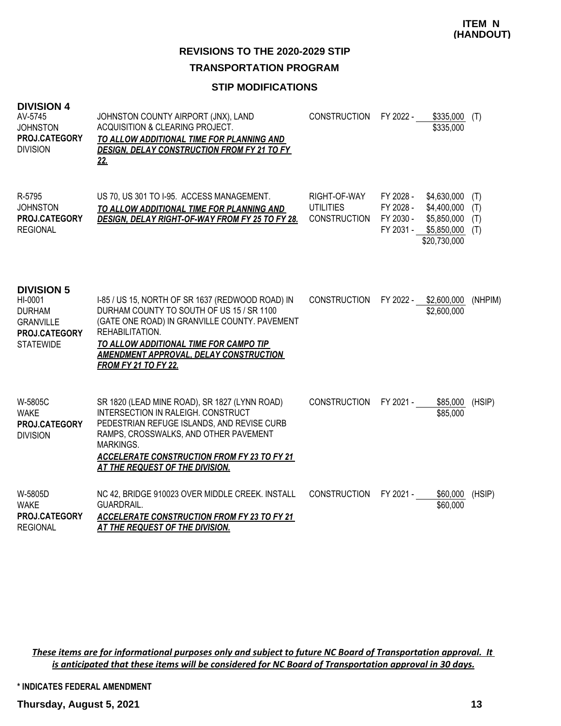**ITEM N (HANDOUT)**

**REVISIONS TO THE 2020-2029 STIP**

**TRANSPORTATION PROGRAM**

# **STIP MODIFICATIONS**

| <b>DIVISION 4</b><br>AV-5745<br><b>JOHNSTON</b><br>PROJ.CATEGORY<br><b>DIVISION</b>                    | JOHNSTON COUNTY AIRPORT (JNX), LAND<br>ACQUISITION & CLEARING PROJECT.<br>TO ALLOW ADDITIONAL TIME FOR PLANNING AND<br><b>DESIGN, DELAY CONSTRUCTION FROM FY 21 TO FY</b><br>22.                                                                                                               | <b>CONSTRUCTION</b>                                     | FY 2022 -                           | \$335,000<br>\$335,000                                                             | (T)                      |
|--------------------------------------------------------------------------------------------------------|------------------------------------------------------------------------------------------------------------------------------------------------------------------------------------------------------------------------------------------------------------------------------------------------|---------------------------------------------------------|-------------------------------------|------------------------------------------------------------------------------------|--------------------------|
| R-5795<br><b>JOHNSTON</b><br>PROJ.CATEGORY<br><b>REGIONAL</b>                                          | US 70, US 301 TO I-95. ACCESS MANAGEMENT.<br>TO ALLOW ADDITIONAL TIME FOR PLANNING AND<br>DESIGN, DELAY RIGHT-OF-WAY FROM FY 25 TO FY 28.                                                                                                                                                      | RIGHT-OF-WAY<br><b>UTILITIES</b><br><b>CONSTRUCTION</b> | FY 2028 -<br>FY 2028 -<br>FY 2030 - | \$4,630,000<br>\$4,400,000<br>\$5,850,000<br>FY 2031 - \$5,850,000<br>\$20,730,000 | (T)<br>(T)<br>(T)<br>(T) |
| <b>DIVISION 5</b><br>HI-0001<br><b>DURHAM</b><br><b>GRANVILLE</b><br>PROJ.CATEGORY<br><b>STATEWIDE</b> | I-85 / US 15, NORTH OF SR 1637 (REDWOOD ROAD) IN<br>DURHAM COUNTY TO SOUTH OF US 15 / SR 1100<br>(GATE ONE ROAD) IN GRANVILLE COUNTY. PAVEMENT<br>REHABILITATION.<br>TO ALLOW ADDITIONAL TIME FOR CAMPO TIP<br><b>AMENDMENT APPROVAL, DELAY CONSTRUCTION</b><br><b>FROM FY 21 TO FY 22.</b>    | <b>CONSTRUCTION</b>                                     | FY 2022 -                           | \$2,600,000<br>\$2,600,000                                                         | (NHPIM)                  |
| W-5805C<br><b>WAKE</b><br>PROJ.CATEGORY<br><b>DIVISION</b>                                             | SR 1820 (LEAD MINE ROAD), SR 1827 (LYNN ROAD)<br>INTERSECTION IN RALEIGH, CONSTRUCT<br>PEDESTRIAN REFUGE ISLANDS, AND REVISE CURB<br>RAMPS, CROSSWALKS, AND OTHER PAVEMENT<br><b>MARKINGS.</b><br><b>ACCELERATE CONSTRUCTION FROM FY 23 TO FY 21</b><br><b>AT THE REQUEST OF THE DIVISION.</b> | <b>CONSTRUCTION</b>                                     | FY 2021 -                           | \$85,000<br>\$85,000                                                               | (HSIP)                   |
| W-5805D<br><b>WAKE</b><br>PROJ.CATEGORY<br><b>REGIONAL</b>                                             | NC 42, BRIDGE 910023 OVER MIDDLE CREEK. INSTALL<br>GUARDRAIL.<br><b>ACCELERATE CONSTRUCTION FROM FY 23 TO FY 21</b><br><u>AT THE REQUEST OF THE DIVISION.</u>                                                                                                                                  | <b>CONSTRUCTION</b>                                     | FY 2021 -                           | \$60,000<br>\$60,000                                                               | (HSIP)                   |

*These items are for informational purposes only and subject to future NC Board of Transportation approval. It is anticipated that these items will be considered for NC Board of Transportation approval in 30 days.*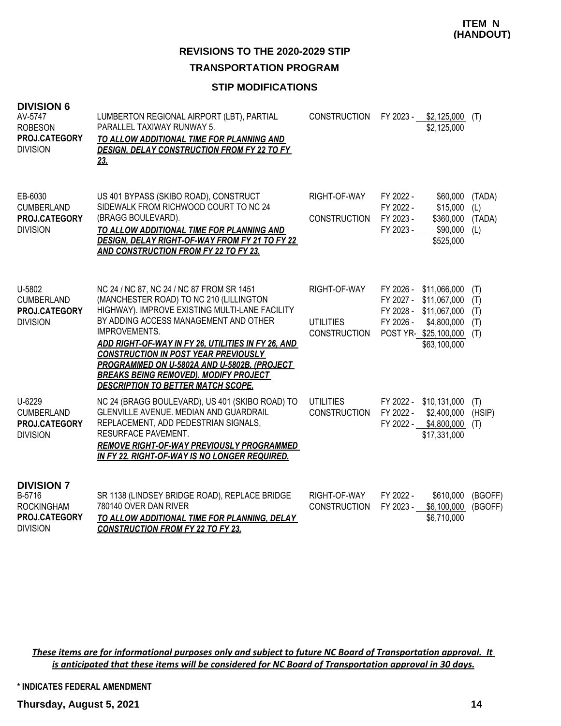**ITEM N (HANDOUT)**

**REVISIONS TO THE 2020-2029 STIP**

**TRANSPORTATION PROGRAM**

# **STIP MODIFICATIONS**

| <b>DIVISION 6</b><br>AV-5747<br><b>ROBESON</b><br>PROJ.CATEGORY<br><b>DIVISION</b>   | LUMBERTON REGIONAL AIRPORT (LBT), PARTIAL<br>PARALLEL TAXIWAY RUNWAY 5.<br>TO ALLOW ADDITIONAL TIME FOR PLANNING AND<br><b>DESIGN, DELAY CONSTRUCTION FROM FY 22 TO FY</b><br>23.                                                                                                                                                                                                                                                                 | CONSTRUCTION                                            | FY 2023 -                                        | \$2,125,000<br>\$2,125,000                                                                          | (T)                             |
|--------------------------------------------------------------------------------------|---------------------------------------------------------------------------------------------------------------------------------------------------------------------------------------------------------------------------------------------------------------------------------------------------------------------------------------------------------------------------------------------------------------------------------------------------|---------------------------------------------------------|--------------------------------------------------|-----------------------------------------------------------------------------------------------------|---------------------------------|
| EB-6030<br>CUMBERLAND<br>PROJ.CATEGORY<br><b>DIVISION</b>                            | US 401 BYPASS (SKIBO ROAD), CONSTRUCT<br>SIDEWALK FROM RICHWOOD COURT TO NC 24<br>(BRAGG BOULEVARD).<br>TO ALLOW ADDITIONAL TIME FOR PLANNING AND<br><b>DESIGN, DELAY RIGHT-OF-WAY FROM FY 21 TO FY 22</b><br><b>AND CONSTRUCTION FROM FY 22 TO FY 23.</b>                                                                                                                                                                                        | RIGHT-OF-WAY<br><b>CONSTRUCTION</b>                     | FY 2022 -<br>FY 2022 -<br>FY 2023 -<br>FY 2023 - | \$60,000<br>\$15,000<br>\$360,000<br>\$90,000<br>\$525,000                                          | (TADA)<br>(L)<br>(TADA)<br>(L)  |
| U-5802<br><b>CUMBERLAND</b><br>PROJ.CATEGORY<br><b>DIVISION</b>                      | NC 24 / NC 87, NC 24 / NC 87 FROM SR 1451<br>(MANCHESTER ROAD) TO NC 210 (LILLINGTON<br>HIGHWAY). IMPROVE EXISTING MULTI-LANE FACILITY<br>BY ADDING ACCESS MANAGEMENT AND OTHER<br>IMPROVEMENTS.<br>ADD RIGHT-OF-WAY IN FY 26, UTILITIES IN FY 26, AND<br><b>CONSTRUCTION IN POST YEAR PREVIOUSLY</b><br>PROGRAMMED ON U-5802A AND U-5802B. (PROJECT<br><b>BREAKS BEING REMOVED). MODIFY PROJECT</b><br><b>DESCRIPTION TO BETTER MATCH SCOPE.</b> | RIGHT-OF-WAY<br><b>UTILITIES</b><br><b>CONSTRUCTION</b> | FY 2026 -<br>FY 2027 -<br>FY 2028 -<br>FY 2026 - | \$11,066,000<br>\$11,067,000<br>\$11,067,000<br>\$4,800,000<br>POST YR-\$25,100,000<br>\$63,100,000 | (T)<br>(T)<br>(T)<br>(T)<br>(T) |
| U-6229<br><b>CUMBERLAND</b><br>PROJ.CATEGORY<br><b>DIVISION</b>                      | NC 24 (BRAGG BOULEVARD), US 401 (SKIBO ROAD) TO<br><b>GLENVILLE AVENUE, MEDIAN AND GUARDRAIL</b><br>REPLACEMENT, ADD PEDESTRIAN SIGNALS,<br><b>RESURFACE PAVEMENT.</b><br><b>REMOVE RIGHT-OF-WAY PREVIOUSLY PROGRAMMED</b><br>IN FY 22. RIGHT-OF-WAY IS NO LONGER REQUIRED.                                                                                                                                                                       | <b>UTILITIES</b><br><b>CONSTRUCTION</b>                 | FY 2022 -                                        | FY 2022 - \$10,131,000<br>\$2,400,000<br>FY 2022 - \$4,800,000<br>\$17,331,000                      | (T)<br>(HSIP)<br>(T)            |
| <b>DIVISION 7</b><br>B-5716<br><b>ROCKINGHAM</b><br>PROJ.CATEGORY<br><b>DIVISION</b> | SR 1138 (LINDSEY BRIDGE ROAD), REPLACE BRIDGE<br>780140 OVER DAN RIVER<br>TO ALLOW ADDITIONAL TIME FOR PLANNING, DELAY<br><b>CONSTRUCTION FROM FY 22 TO FY 23.</b>                                                                                                                                                                                                                                                                                | RIGHT-OF-WAY<br><b>CONSTRUCTION</b>                     | FY 2022 -<br>FY 2023 -                           | \$610,000<br>\$6,100,000<br>\$6,710,000                                                             | (BGOFF)<br>(BGOFF)              |

*These items are for informational purposes only and subject to future NC Board of Transportation approval. It is anticipated that these items will be considered for NC Board of Transportation approval in 30 days.*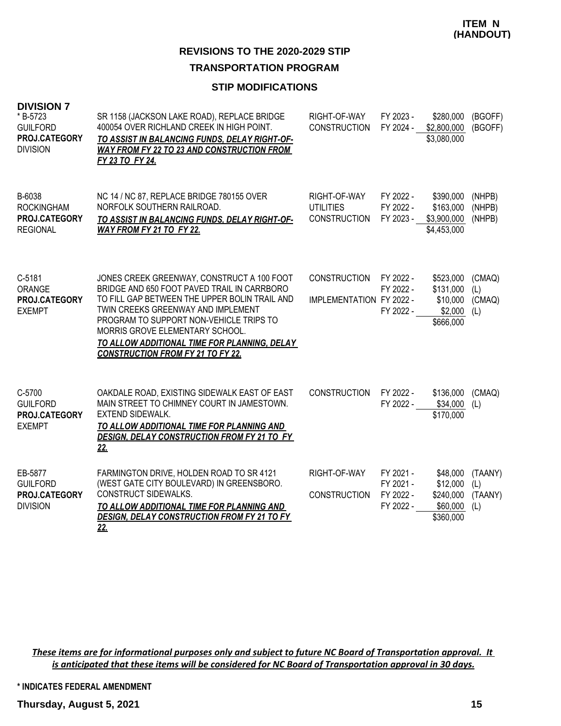# **TRANSPORTATION PROGRAM**

### **STIP MODIFICATIONS**

| * B-5723<br><b>GUILFORD</b><br>PROJ.CATEGORY<br><b>DIVISION</b> | SR 1158 (JACKSON LAKE ROAD), REPLACE BRIDGE<br>400054 OVER RICHLAND CREEK IN HIGH POINT.<br>TO ASSIST IN BALANCING FUNDS, DELAY RIGHT-OF-<br><b>WAY FROM FY 22 TO 23 AND CONSTRUCTION FROM</b><br>FY 23 TO FY 24.                                                                                                                                          | RIGHT-OF-WAY<br><b>CONSTRUCTION</b>                     | FY 2023 -<br>FY 2024 -                           | \$280,000<br>\$2,800,000<br>\$3,080,000                    | (BGOFF)<br>(BGOFF)               |
|-----------------------------------------------------------------|------------------------------------------------------------------------------------------------------------------------------------------------------------------------------------------------------------------------------------------------------------------------------------------------------------------------------------------------------------|---------------------------------------------------------|--------------------------------------------------|------------------------------------------------------------|----------------------------------|
| B-6038<br><b>ROCKINGHAM</b><br>PROJ.CATEGORY<br><b>REGIONAL</b> | NC 14 / NC 87, REPLACE BRIDGE 780155 OVER<br>NORFOLK SOUTHERN RAILROAD.<br>TO ASSIST IN BALANCING FUNDS, DELAY RIGHT-OF-<br>WAY FROM FY 21 TO FY 22.                                                                                                                                                                                                       | RIGHT-OF-WAY<br><b>UTILITIES</b><br><b>CONSTRUCTION</b> | FY 2022 -<br>FY 2022 -<br>FY 2023 -              | \$390,000<br>\$163,000<br>\$3,900,000<br>\$4,453,000       | (NHPB)<br>(NHPB)<br>(NHPB)       |
| $C-5181$<br><b>ORANGE</b><br>PROJ.CATEGORY<br><b>EXEMPT</b>     | JONES CREEK GREENWAY, CONSTRUCT A 100 FOOT<br>BRIDGE AND 650 FOOT PAVED TRAIL IN CARRBORO<br>TO FILL GAP BETWEEN THE UPPER BOLIN TRAIL AND<br>TWIN CREEKS GREENWAY AND IMPLEMENT<br>PROGRAM TO SUPPORT NON-VEHICLE TRIPS TO<br>MORRIS GROVE ELEMENTARY SCHOOL.<br>TO ALLOW ADDITIONAL TIME FOR PLANNING, DELAY<br><b>CONSTRUCTION FROM FY 21 TO FY 22.</b> | <b>CONSTRUCTION</b><br>IMPLEMENTATION FY 2022 -         | FY 2022 -<br>FY 2022 -<br>FY 2022 -              | \$523,000<br>\$131,000<br>\$10,000<br>\$2,000<br>\$666,000 | (CMAQ)<br>(L)<br>(CMAQ)<br>(L)   |
| C-5700<br><b>GUILFORD</b><br>PROJ.CATEGORY<br><b>EXEMPT</b>     | OAKDALE ROAD, EXISTING SIDEWALK EAST OF EAST<br>MAIN STREET TO CHIMNEY COURT IN JAMESTOWN.<br><b>EXTEND SIDEWALK.</b><br>TO ALLOW ADDITIONAL TIME FOR PLANNING AND<br>DESIGN, DELAY CONSTRUCTION FROM FY 21 TO FY<br><u>22.</u>                                                                                                                            | <b>CONSTRUCTION</b>                                     | FY 2022 -<br>FY 2022 -                           | \$136,000<br>\$34,000<br>\$170,000                         | (CMAQ)<br>(L)                    |
| EB-5877<br><b>GUILFORD</b><br>PROJ.CATEGORY<br><b>DIVISION</b>  | FARMINGTON DRIVE, HOLDEN ROAD TO SR 4121<br>(WEST GATE CITY BOULEVARD) IN GREENSBORO.<br>CONSTRUCT SIDEWALKS.<br>TO ALLOW ADDITIONAL TIME FOR PLANNING AND<br><b>DESIGN, DELAY CONSTRUCTION FROM FY 21 TO FY</b><br>22.                                                                                                                                    | RIGHT-OF-WAY<br><b>CONSTRUCTION</b>                     | FY 2021 -<br>FY 2021 -<br>FY 2022 -<br>FY 2022 - | \$48,000<br>\$12,000<br>\$240,000<br>\$60,000<br>\$360,000 | (TAANY)<br>(L)<br>(TAANY)<br>(L) |

*These items are for informational purposes only and subject to future NC Board of Transportation approval. It is anticipated that these items will be considered for NC Board of Transportation approval in 30 days.*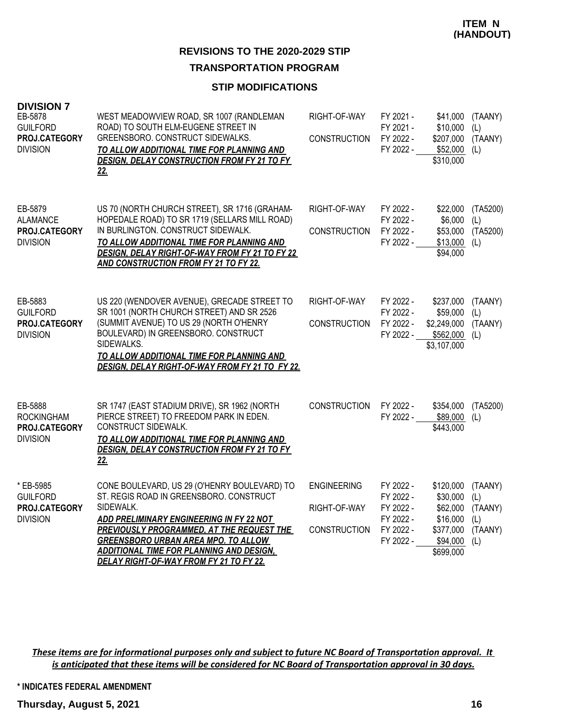### **TRANSPORTATION PROGRAM**

### **STIP MODIFICATIONS**

| <b>DIVISION 7</b><br>EB-5878<br><b>GUILFORD</b><br>PROJ.CATEGORY<br><b>DIVISION</b> | WEST MEADOWVIEW ROAD, SR 1007 (RANDLEMAN<br>ROAD) TO SOUTH ELM-EUGENE STREET IN<br>GREENSBORO. CONSTRUCT SIDEWALKS.<br>TO ALLOW ADDITIONAL TIME FOR PLANNING AND<br><b>DESIGN, DELAY CONSTRUCTION FROM FY 21 TO FY</b><br>22.                                                                                                             | RIGHT-OF-WAY<br><b>CONSTRUCTION</b>                       | FY 2021 -<br>\$41,000<br>FY 2021 -<br>\$10,000<br>FY 2022 -<br>\$207,000<br>FY 2022 -<br>\$52,000<br>\$310,000                                                    | (TAANY)<br>(L)<br>(TAANY)<br>(L)                   |
|-------------------------------------------------------------------------------------|-------------------------------------------------------------------------------------------------------------------------------------------------------------------------------------------------------------------------------------------------------------------------------------------------------------------------------------------|-----------------------------------------------------------|-------------------------------------------------------------------------------------------------------------------------------------------------------------------|----------------------------------------------------|
| EB-5879<br><b>ALAMANCE</b><br>PROJ.CATEGORY<br><b>DIVISION</b>                      | US 70 (NORTH CHURCH STREET), SR 1716 (GRAHAM-<br>HOPEDALE ROAD) TO SR 1719 (SELLARS MILL ROAD)<br>IN BURLINGTON. CONSTRUCT SIDEWALK.<br>TO ALLOW ADDITIONAL TIME FOR PLANNING AND<br><b>DESIGN, DELAY RIGHT-OF-WAY FROM FY 21 TO FY 22</b><br><b>AND CONSTRUCTION FROM FY 21 TO FY 22.</b>                                                | RIGHT-OF-WAY<br><b>CONSTRUCTION</b>                       | FY 2022 -<br>\$22,000<br>FY 2022 -<br>\$6,000<br>FY 2022 -<br>\$53,000<br>FY 2022 -<br>\$13,000<br>\$94,000                                                       | (TA5200)<br>(L)<br>(TA5200)<br>(L)                 |
| EB-5883<br><b>GUILFORD</b><br>PROJ.CATEGORY<br><b>DIVISION</b>                      | US 220 (WENDOVER AVENUE), GRECADE STREET TO<br>SR 1001 (NORTH CHURCH STREET) AND SR 2526<br>(SUMMIT AVENUE) TO US 29 (NORTH O'HENRY<br>BOULEVARD) IN GREENSBORO. CONSTRUCT<br>SIDEWALKS.<br>TO ALLOW ADDITIONAL TIME FOR PLANNING AND<br>DESIGN, DELAY RIGHT-OF-WAY FROM FY 21 TO FY 22.                                                  | RIGHT-OF-WAY<br><b>CONSTRUCTION</b>                       | FY 2022 -<br>\$237,000<br>FY 2022 -<br>\$59,000<br>FY 2022 -<br>\$2,249,000<br>FY 2022 -<br>\$562,000<br>\$3,107,000                                              | (TAANY)<br>(L)<br>(TAANY)<br>(L)                   |
| EB-5888<br><b>ROCKINGHAM</b><br>PROJ.CATEGORY<br><b>DIVISION</b>                    | SR 1747 (EAST STADIUM DRIVE), SR 1962 (NORTH<br>PIERCE STREET) TO FREEDOM PARK IN EDEN.<br>CONSTRUCT SIDEWALK.<br>TO ALLOW ADDITIONAL TIME FOR PLANNING AND<br>DESIGN, DELAY CONSTRUCTION FROM FY 21 TO FY<br>22.                                                                                                                         | <b>CONSTRUCTION</b>                                       | FY 2022 -<br>\$354,000<br>\$89,000<br>FY 2022 -<br>\$443,000                                                                                                      | (TA5200)<br>(L)                                    |
| * EB-5985<br><b>GUILFORD</b><br>PROJ.CATEGORY<br><b>DIVISION</b>                    | CONE BOULEVARD, US 29 (O'HENRY BOULEVARD) TO<br>ST. REGIS ROAD IN GREENSBORO. CONSTRUCT<br>SIDEWALK.<br>ADD PRELIMINARY ENGINEERING IN FY 22 NOT<br>PREVIOUSLY PROGRAMMED, AT THE REQUEST THE<br><b>GREENSBORO URBAN AREA MPO. TO ALLOW</b><br><b>ADDITIONAL TIME FOR PLANNING AND DESIGN,</b><br>DELAY RIGHT-OF-WAY FROM FY 21 TO FY 22. | <b>ENGINEERING</b><br>RIGHT-OF-WAY<br><b>CONSTRUCTION</b> | FY 2022 -<br>\$120,000<br>FY 2022 -<br>\$30,000<br>FY 2022 -<br>\$62,000<br>FY 2022 -<br>\$16,000<br>FY 2022 -<br>\$377,000<br>FY 2022 -<br>\$94,000<br>\$699,000 | (TAANY)<br>(L)<br>(TAANY)<br>(L)<br>(TAANY)<br>(L) |

*These items are for informational purposes only and subject to future NC Board of Transportation approval. It is anticipated that these items will be considered for NC Board of Transportation approval in 30 days.*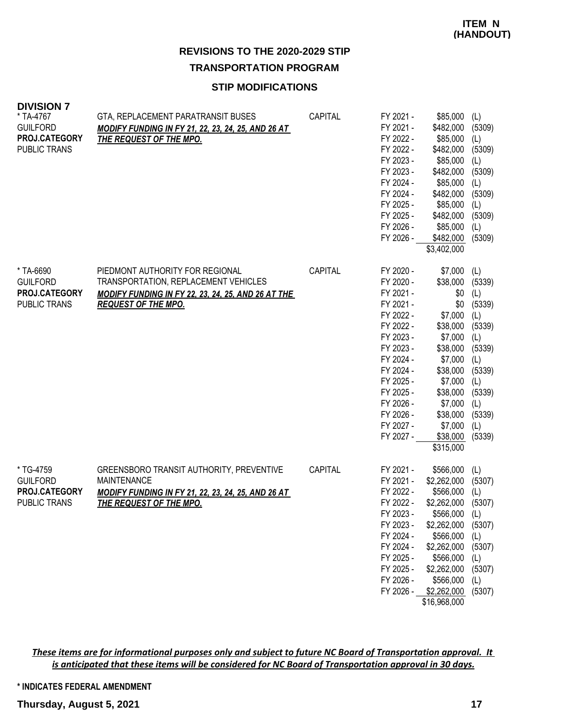# **STIP MODIFICATIONS**

| <b>DIVISION 7</b><br>* TA-4767<br><b>GUILFORD</b><br>PROJ.CATEGORY<br><b>PUBLIC TRANS</b> | GTA, REPLACEMENT PARATRANSIT BUSES<br>MODIFY FUNDING IN FY 21, 22, 23, 24, 25, AND 26 AT<br><u>THE REQUEST OF THE MPO.</u>                                    | CAPITAL        | FY 2021 -<br>FY 2021 -<br>FY 2022 -<br>FY 2022 -<br>FY 2023 -<br>FY 2023 -<br>FY 2024 -<br>FY 2024 -<br>FY 2025 -<br>FY 2025 -<br>FY 2026 -<br>FY 2026 -                                                     | \$85,000<br>\$482,000<br>\$85,000<br>\$482,000<br>\$85,000<br>\$482,000<br>\$85,000<br>\$482,000<br>\$85,000<br>\$482,000<br>\$85,000<br>\$482,000<br>\$3,402,000                        | (L)<br>(5309)<br>(L)<br>(5309)<br>(L)<br>(5309)<br>(L)<br>(5309)<br>(L)<br>(5309)<br>(L)<br>(5309)                                   |
|-------------------------------------------------------------------------------------------|---------------------------------------------------------------------------------------------------------------------------------------------------------------|----------------|--------------------------------------------------------------------------------------------------------------------------------------------------------------------------------------------------------------|------------------------------------------------------------------------------------------------------------------------------------------------------------------------------------------|--------------------------------------------------------------------------------------------------------------------------------------|
| * TA-6690<br><b>GUILFORD</b><br>PROJ.CATEGORY<br>PUBLIC TRANS                             | PIEDMONT AUTHORITY FOR REGIONAL<br>TRANSPORTATION, REPLACEMENT VEHICLES<br>MODIFY FUNDING IN FY 22, 23, 24, 25, AND 26 AT THE<br><b>REQUEST OF THE MPO.</b>   | <b>CAPITAL</b> | FY 2020 -<br>FY 2020 -<br>FY 2021 -<br>FY 2021 -<br>FY 2022 -<br>FY 2022 -<br>FY 2023 -<br>FY 2023 -<br>FY 2024 -<br>FY 2024 -<br>FY 2025 -<br>FY 2025 -<br>FY 2026 -<br>FY 2026 -<br>FY 2027 -<br>FY 2027 - | \$7,000<br>\$38,000<br>\$0<br>\$0<br>\$7,000<br>\$38,000<br>\$7,000<br>\$38,000<br>\$7,000<br>\$38,000<br>\$7,000<br>\$38,000<br>\$7,000<br>\$38,000<br>\$7,000<br>\$38,000<br>\$315,000 | (L)<br>(5339)<br>(L)<br>(5339)<br>(L)<br>(5339)<br>(L)<br>(5339)<br>(L)<br>(5339)<br>(L)<br>(5339)<br>(L)<br>(5339)<br>(L)<br>(5339) |
| * TG-4759<br><b>GUILFORD</b><br>PROJ.CATEGORY<br><b>PUBLIC TRANS</b>                      | GREENSBORO TRANSIT AUTHORITY, PREVENTIVE<br><b>MAINTENANCE</b><br><b>MODIFY FUNDING IN FY 21, 22, 23, 24, 25, AND 26 AT</b><br><u>THE REQUEST OF THE MPO.</u> | CAPITAL        | FY 2021 -<br>FY 2021 -<br>FY 2022 -<br>FY 2022 -<br>FY 2023 -<br>FY 2023 -<br>FY 2024 -<br>FY 2024 -<br>FY 2025 -<br>FY 2025 -<br>FY 2026 -<br>FY 2026 -                                                     | \$566,000<br>\$2,262,000<br>\$566,000<br>\$2,262,000<br>\$566,000<br>\$2,262,000<br>\$566,000<br>\$2,262,000<br>\$566,000<br>\$2,262,000<br>\$566,000<br>\$2,262,000<br>\$16,968,000     | (L)<br>(5307)<br>(L)<br>(5307)<br>(L)<br>(5307)<br>(L)<br>(5307)<br>(L)<br>(5307)<br>(L)<br>(5307)                                   |

*These items are for informational purposes only and subject to future NC Board of Transportation approval. It is anticipated that these items will be considered for NC Board of Transportation approval in 30 days.*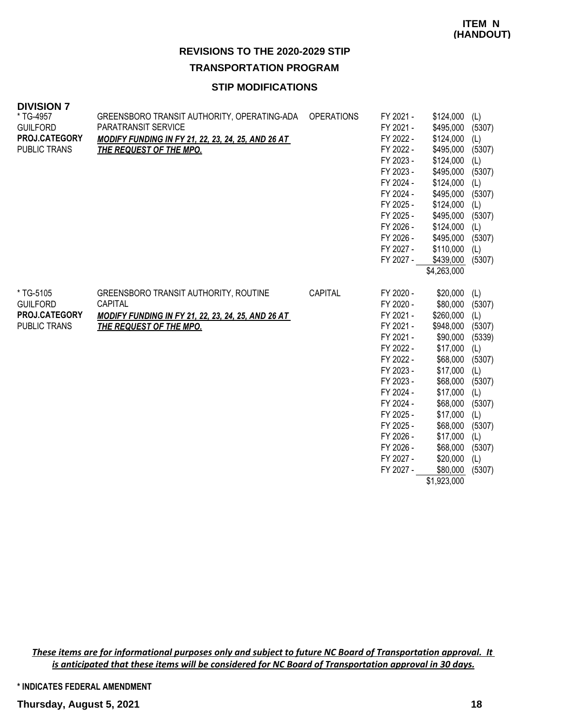### **STIP MODIFICATIONS**

| <b>DIVISION 7</b><br>* TG-4957<br>Guilford<br><b>PROJ.CATEGORY</b> | GREENSBORO TRANSIT AUTHORITY, OPERATING-ADA<br>PARATRANSIT SERVICE<br><b>MODIFY FUNDING IN FY 21, 22, 23, 24, 25, AND 26 AT</b>                 | <b>OPERATIONS</b> | FY 2021 -<br>FY 2021 -<br>FY 2022 -                                                                                                                                                                                       | \$124,000<br>\$495,000<br>\$124,000                                                                                                                                                                                       | (L)<br>(5307)<br>(L)                                                                                                                           |
|--------------------------------------------------------------------|-------------------------------------------------------------------------------------------------------------------------------------------------|-------------------|---------------------------------------------------------------------------------------------------------------------------------------------------------------------------------------------------------------------------|---------------------------------------------------------------------------------------------------------------------------------------------------------------------------------------------------------------------------|------------------------------------------------------------------------------------------------------------------------------------------------|
| PUBLIC TRANS                                                       | <b>THE REQUEST OF THE MPO.</b>                                                                                                                  |                   | FY 2022 -<br>FY 2023 -<br>FY 2023 -<br>FY 2024 -<br>FY 2024 -<br>FY 2025 -<br>FY 2025 -<br>FY 2026 -<br>FY 2026 -<br>FY 2027 -<br>FY 2027 -                                                                               | \$495,000<br>\$124,000<br>\$495,000<br>\$124,000<br>\$495,000<br>\$124,000<br>\$495,000<br>\$124,000<br>\$495,000<br>\$110,000<br>\$439,000<br>\$4,263,000                                                                | (5307)<br>(L)<br>(5307)<br>(L)<br>(5307)<br>(L)<br>(5307)<br>(L)<br>(5307)<br>(L)<br>(5307)                                                    |
| * TG-5105<br><b>GUILFORD</b><br>PROJ.CATEGORY<br>PUBLIC TRANS      | GREENSBORO TRANSIT AUTHORITY, ROUTINE<br>CAPITAL<br><b>MODIFY FUNDING IN FY 21, 22, 23, 24, 25, AND 26 AT</b><br><b>THE REQUEST OF THE MPO.</b> | CAPITAL           | FY 2020 -<br>FY 2020 -<br>FY 2021 -<br>FY 2021 -<br>FY 2021 -<br>FY 2022 -<br>FY 2022 -<br>FY 2023 -<br>FY 2023 -<br>FY 2024 -<br>FY 2024 -<br>FY 2025 -<br>FY 2025 -<br>FY 2026 -<br>FY 2026 -<br>FY 2027 -<br>FY 2027 - | \$20,000<br>\$80,000<br>\$260,000<br>\$948,000<br>\$90,000<br>\$17,000<br>\$68,000<br>\$17,000<br>\$68,000<br>\$17,000<br>\$68,000<br>\$17,000<br>\$68,000<br>\$17,000<br>\$68,000<br>\$20,000<br>\$80,000<br>\$1,923,000 | (L)<br>(5307)<br>(L)<br>(5307)<br>(5339)<br>(L)<br>(5307)<br>(L)<br>(5307)<br>(L)<br>(5307)<br>(L)<br>(5307)<br>(L)<br>(5307)<br>(L)<br>(5307) |

*These items are for informational purposes only and subject to future NC Board of Transportation approval. It is anticipated that these items will be considered for NC Board of Transportation approval in 30 days.*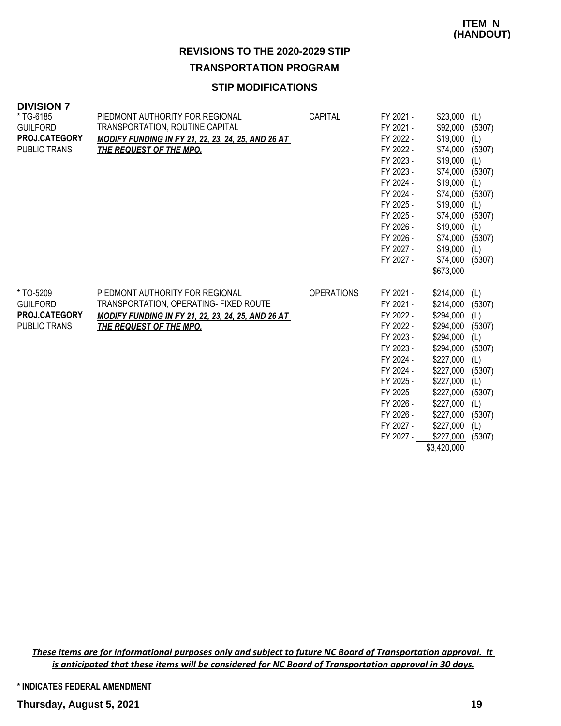# **STIP MODIFICATIONS**

| <b>DIVISION 7</b>    |                                                           |                   |           |           |        |
|----------------------|-----------------------------------------------------------|-------------------|-----------|-----------|--------|
| * TG-6185            | PIEDMONT AUTHORITY FOR REGIONAL                           | CAPITAL           | FY 2021 - | \$23,000  | (L)    |
| <b>GUILFORD</b>      | TRANSPORTATION, ROUTINE CAPITAL                           |                   | FY 2021 - | \$92,000  | (5307) |
| <b>PROJ.CATEGORY</b> | <b>MODIFY FUNDING IN FY 21, 22, 23, 24, 25, AND 26 AT</b> |                   | FY 2022 - | \$19,000  | (L)    |
| <b>PUBLIC TRANS</b>  | <b>THE REQUEST OF THE MPO.</b>                            |                   | FY 2022 - | \$74,000  | (5307) |
|                      |                                                           |                   | FY 2023 - | \$19,000  | (L)    |
|                      |                                                           |                   | FY 2023 - | \$74,000  | (5307) |
|                      |                                                           |                   | FY 2024 - | \$19,000  | (L)    |
|                      |                                                           |                   | FY 2024 - | \$74,000  | (5307) |
|                      |                                                           |                   | FY 2025 - | \$19,000  | (L)    |
|                      |                                                           |                   | FY 2025 - | \$74,000  | (5307) |
|                      |                                                           |                   | FY 2026 - | \$19,000  | (L)    |
|                      |                                                           |                   | FY 2026 - | \$74,000  | (5307) |
|                      |                                                           |                   | FY 2027 - | \$19,000  | (L)    |
|                      |                                                           |                   | FY 2027 - | \$74,000  | (5307) |
|                      |                                                           |                   |           | \$673,000 |        |
| * TO-5209            | PIEDMONT AUTHORITY FOR REGIONAL                           | <b>OPERATIONS</b> | FY 2021 - | \$214,000 | (L)    |
| <b>GUILFORD</b>      | TRANSPORTATION, OPERATING- FIXED ROUTE                    |                   | FY 2021 - | \$214,000 | (5307) |
| <b>PROJ.CATEGORY</b> | <b>MODIFY FUNDING IN FY 21, 22, 23, 24, 25, AND 26 AT</b> |                   | FY 2022 - | \$294,000 | (L)    |
| <b>PUBLIC TRANS</b>  | <b>THE REQUEST OF THE MPO.</b>                            |                   | FY 2022 - | \$294,000 | (5307) |
|                      |                                                           |                   | FY 2023 - | \$294,000 | (L)    |
|                      |                                                           |                   | FY 2023 - | \$294,000 | (5307) |
|                      |                                                           |                   | FY 2024 - | \$227,000 | (L)    |
|                      |                                                           |                   | FY 2024 - | \$227,000 | (5307) |
|                      |                                                           |                   | FY 2025 - | \$227,000 | (L)    |
|                      |                                                           |                   | FY 2025 - | \$227,000 | (5307) |
|                      |                                                           |                   | FY 2026 - | \$227,000 | (L)    |
|                      |                                                           |                   | FY 2026 - | \$227,000 | (5307) |
|                      |                                                           |                   | FY 2027 - | \$227,000 | (L)    |
|                      |                                                           |                   | FY 2027 - | \$227,000 | (5307) |

\$3,420,000

*These items are for informational purposes only and subject to future NC Board of Transportation approval. It is anticipated that these items will be considered for NC Board of Transportation approval in 30 days.*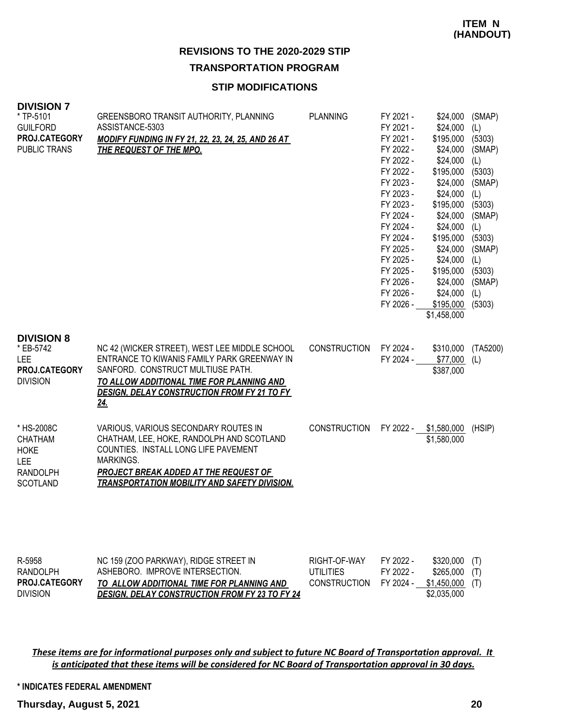#### **STIP MODIFICATIONS**

| <b>DIVISION 7</b><br>* TP-5101<br><b>GUILFORD</b><br>PROJ.CATEGORY<br>PUBLIC TRANS              | GREENSBORO TRANSIT AUTHORITY, PLANNING<br>ASSISTANCE-5303<br><b>MODIFY FUNDING IN FY 21, 22, 23, 24, 25, AND 26 AT</b><br><b>THE REQUEST OF THE MPO.</b>                                                                                    | <b>PLANNING</b>                                         | FY 2021 -<br>FY 2021 -<br>FY 2021 -<br>FY 2022 -<br>FY 2022 -<br>FY 2022 -<br>FY 2023 -<br>FY 2023 -<br>FY 2023 -<br>FY 2024 -<br>FY 2024 -<br>FY 2024 -<br>FY 2025 -<br>FY 2025 -<br>FY 2025 -<br>FY 2026 -<br>FY 2026 -<br>FY 2026 - | \$24,000<br>\$24,000<br>\$195,000<br>\$24,000<br>\$24,000<br>\$195,000<br>\$24,000<br>\$24,000<br>\$195,000<br>\$24,000<br>\$24,000<br>\$195,000<br>\$24,000<br>\$24,000<br>\$195,000<br>\$24,000<br>\$24,000<br>\$195,000<br>\$1,458,000 | (SMAP)<br>(L)<br>(5303)<br>(SMAP)<br>(L)<br>(5303)<br>(SMAP)<br>(L)<br>(5303)<br>(SMAP)<br>(L)<br>(5303)<br>(SMAP)<br>(L)<br>(5303)<br>(SMAP)<br>(L)<br>(5303) |
|-------------------------------------------------------------------------------------------------|---------------------------------------------------------------------------------------------------------------------------------------------------------------------------------------------------------------------------------------------|---------------------------------------------------------|----------------------------------------------------------------------------------------------------------------------------------------------------------------------------------------------------------------------------------------|-------------------------------------------------------------------------------------------------------------------------------------------------------------------------------------------------------------------------------------------|----------------------------------------------------------------------------------------------------------------------------------------------------------------|
| <b>DIVISION 8</b><br>* EB-5742<br>LEE<br><b>PROJ.CATEGORY</b><br><b>DIVISION</b>                | NC 42 (WICKER STREET), WEST LEE MIDDLE SCHOOL<br>ENTRANCE TO KIWANIS FAMILY PARK GREENWAY IN<br>SANFORD. CONSTRUCT MULTIUSE PATH.<br>TO ALLOW ADDITIONAL TIME FOR PLANNING AND<br><b>DESIGN, DELAY CONSTRUCTION FROM FY 21 TO FY</b><br>24. | <b>CONSTRUCTION</b>                                     | FY 2024 -<br>FY 2024 -                                                                                                                                                                                                                 | \$310,000<br>\$77,000<br>\$387,000                                                                                                                                                                                                        | (TA5200)<br>(L)                                                                                                                                                |
| * HS-2008C<br><b>CHATHAM</b><br><b>HOKE</b><br><b>LEE</b><br><b>RANDOLPH</b><br><b>SCOTLAND</b> | VARIOUS, VARIOUS SECONDARY ROUTES IN<br>CHATHAM, LEE, HOKE, RANDOLPH AND SCOTLAND<br>COUNTIES. INSTALL LONG LIFE PAVEMENT<br>MARKINGS.<br>PROJECT BREAK ADDED AT THE REQUEST OF<br><b>TRANSPORTATION MOBILITY AND SAFETY DIVISION.</b>      | <b>CONSTRUCTION</b>                                     |                                                                                                                                                                                                                                        | FY 2022 - \$1,580,000<br>\$1,580,000                                                                                                                                                                                                      | (HSIP)                                                                                                                                                         |
| R-5958<br><b>RANDOLPH</b><br>PROJ.CATEGORY                                                      | NC 159 (ZOO PARKWAY), RIDGE STREET IN<br>ASHEBORO. IMPROVE INTERSECTION.<br>TO ALLOW ADDITIONAL TIME FOR PLANNING AND                                                                                                                       | RIGHT-OF-WAY<br><b>UTILITIES</b><br><b>CONSTRUCTION</b> | FY 2022 -<br>FY 2022 -<br>FY 2024 -                                                                                                                                                                                                    | \$320,000<br>\$265,000<br>\$1,450,000                                                                                                                                                                                                     | (T)<br>(T)<br>(T)                                                                                                                                              |

*These items are for informational purposes only and subject to future NC Board of Transportation approval. It is anticipated that these items will be considered for NC Board of Transportation approval in 30 days.*

*DESIGN, DELAY CONSTRUCTION FROM FY 23 TO FY 24*

**\* INDICATES FEDERAL AMENDMENT**

DIVISION

\$2,035,000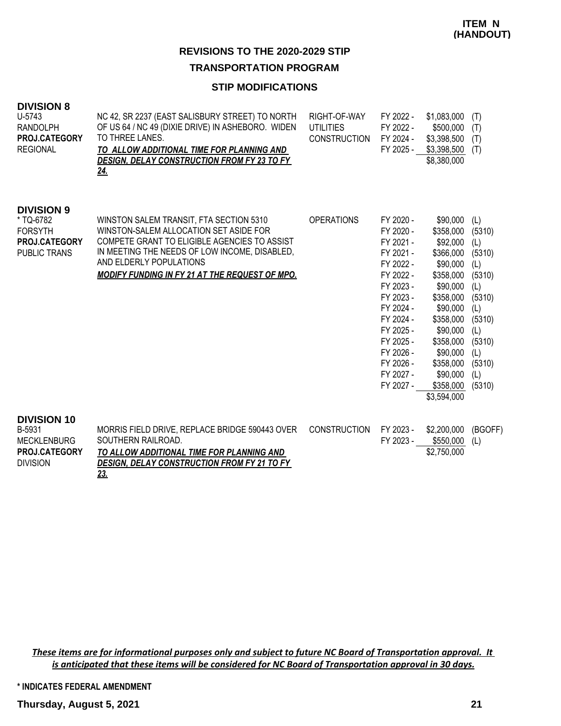# **TRANSPORTATION PROGRAM**

## **STIP MODIFICATIONS**

| <b>DIVISION 8</b><br>U-5743<br><b>RANDOLPH</b><br>PROJ.CATEGORY<br><b>REGIONAL</b>       | NC 42, SR 2237 (EAST SALISBURY STREET) TO NORTH<br>OF US 64 / NC 49 (DIXIE DRIVE) IN ASHEBORO. WIDEN<br>TO THREE LANES.<br>TO ALLOW ADDITIONAL TIME FOR PLANNING AND<br><b>DESIGN, DELAY CONSTRUCTION FROM FY 23 TO FY</b><br><u>24.</u>                               | RIGHT-OF-WAY<br><b>UTILITIES</b><br><b>CONSTRUCTION</b> | FY 2022 -<br>FY 2022 -<br>FY 2024 -<br>FY 2025 -                                                                                                                                                             | \$1,083,000<br>\$500,000<br>\$3,398,500<br>\$3,398,500<br>\$8,380,000                                                                                                                                               | (T)<br>(T)<br>(T)<br>(T)                                                                                                             |
|------------------------------------------------------------------------------------------|------------------------------------------------------------------------------------------------------------------------------------------------------------------------------------------------------------------------------------------------------------------------|---------------------------------------------------------|--------------------------------------------------------------------------------------------------------------------------------------------------------------------------------------------------------------|---------------------------------------------------------------------------------------------------------------------------------------------------------------------------------------------------------------------|--------------------------------------------------------------------------------------------------------------------------------------|
| <b>DIVISION 9</b><br>* TQ-6782<br><b>FORSYTH</b><br>PROJ.CATEGORY<br><b>PUBLIC TRANS</b> | WINSTON SALEM TRANSIT, FTA SECTION 5310<br>WINSTON-SALEM ALLOCATION SET ASIDE FOR<br>COMPETE GRANT TO ELIGIBLE AGENCIES TO ASSIST<br>IN MEETING THE NEEDS OF LOW INCOME, DISABLED,<br>AND ELDERLY POPULATIONS<br><b>MODIFY FUNDING IN FY 21 AT THE REQUEST OF MPO.</b> | <b>OPERATIONS</b>                                       | FY 2020 -<br>FY 2020 -<br>FY 2021 -<br>FY 2021 -<br>FY 2022 -<br>FY 2022 -<br>FY 2023 -<br>FY 2023 -<br>FY 2024 -<br>FY 2024 -<br>FY 2025 -<br>FY 2025 -<br>FY 2026 -<br>FY 2026 -<br>FY 2027 -<br>FY 2027 - | \$90,000<br>\$358,000<br>\$92,000<br>\$366,000<br>\$90,000<br>\$358,000<br>\$90,000<br>\$358,000<br>\$90,000<br>\$358,000<br>\$90,000<br>\$358,000<br>\$90,000<br>\$358,000<br>\$90,000<br>\$358,000<br>\$3,594,000 | (L)<br>(5310)<br>(L)<br>(5310)<br>(L)<br>(5310)<br>(L)<br>(5310)<br>(L)<br>(5310)<br>(L)<br>(5310)<br>(L)<br>(5310)<br>(L)<br>(5310) |
| <b>DIVISION 10</b>                                                                       |                                                                                                                                                                                                                                                                        |                                                         |                                                                                                                                                                                                              |                                                                                                                                                                                                                     |                                                                                                                                      |

| B-5931               | MORRIS FIELD DRIVE, REPLACE BRIDGE 590443 OVER     | CONSTRUCTION | FY 2023 - | \$2,200,000 | (BGOFF) |
|----------------------|----------------------------------------------------|--------------|-----------|-------------|---------|
| MECKLENBURG          | SOUTHERN RAILROAD.                                 |              | FY 2023 - | \$550.000   | (L)     |
| <b>PROJ.CATEGORY</b> | TO ALLOW ADDITIONAL TIME FOR PLANNING AND          |              |           | \$2,750,000 |         |
| <b>DIVISION</b>      | <b>DESIGN, DELAY CONSTRUCTION FROM FY 21 TO FY</b> |              |           |             |         |
|                      | <u>23.</u>                                         |              |           |             |         |

*These items are for informational purposes only and subject to future NC Board of Transportation approval. It is anticipated that these items will be considered for NC Board of Transportation approval in 30 days.*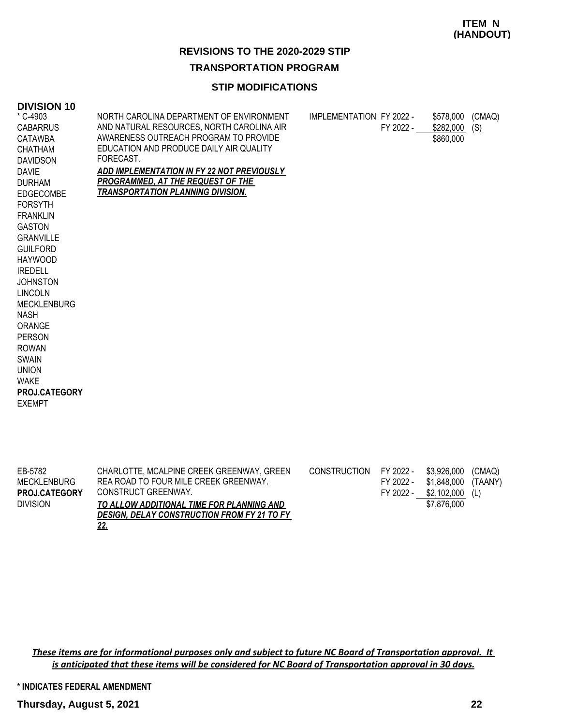### **ITEM N (HANDOUT)**

### **REVISIONS TO THE 2020-2029 STIP**

### **TRANSPORTATION PROGRAM**

# **STIP MODIFICATIONS**

#### **DIVISION 10**

| * C-4903<br><b>CABARRUS</b><br><b>CATAWBA</b><br><b>CHATHAM</b><br><b>DAVIDSON</b><br><b>DAVIE</b><br><b>DURHAM</b><br><b>EDGECOMBE</b><br><b>FORSYTH</b><br><b>FRANKLIN</b><br><b>GASTON</b><br><b>GRANVILLE</b><br><b>GUILFORD</b><br><b>HAYWOOD</b><br><b>IREDELL</b><br><b>JOHNSTON</b><br><b>LINCOLN</b><br><b>MECKLENBURG</b><br><b>NASH</b><br>ORANGE<br><b>PERSON</b><br><b>ROWAN</b><br><b>SWAIN</b><br><b>UNION</b><br><b>WAKE</b><br><b>PROJ.CATEGORY</b><br><b>EXEMPT</b> | NORTH CAROLINA DEPARTMENT OF ENVIRONMENT<br>AND NATURAL RESOURCES, NORTH CAROLINA AIR<br>AWARENESS OUTREACH PROGRAM TO PROVIDE<br>EDUCATION AND PRODUCE DAILY AIR QUALITY<br>FORECAST.<br>ADD IMPLEMENTATION IN FY 22 NOT PREVIOUSLY<br><b>PROGRAMMED, AT THE REQUEST OF THE</b><br><b>TRANSPORTATION PLANNING DIVISION.</b> | IMPLEMENTATION FY 2022 - | FY 2022 - | \$578,000 (CMAQ)<br>\$282,000<br>\$860,000 | (S) |
|---------------------------------------------------------------------------------------------------------------------------------------------------------------------------------------------------------------------------------------------------------------------------------------------------------------------------------------------------------------------------------------------------------------------------------------------------------------------------------------|------------------------------------------------------------------------------------------------------------------------------------------------------------------------------------------------------------------------------------------------------------------------------------------------------------------------------|--------------------------|-----------|--------------------------------------------|-----|
|---------------------------------------------------------------------------------------------------------------------------------------------------------------------------------------------------------------------------------------------------------------------------------------------------------------------------------------------------------------------------------------------------------------------------------------------------------------------------------------|------------------------------------------------------------------------------------------------------------------------------------------------------------------------------------------------------------------------------------------------------------------------------------------------------------------------------|--------------------------|-----------|--------------------------------------------|-----|

| EB-5782<br>MECKLENBURG | CHARLOTTE, MCALPINE CREEK GREENWAY, GREEN<br>REA ROAD TO FOUR MILE CREEK GREENWAY. | CONSTRUCTION FY 2022 - | FY 2022 - | \$3,926,000<br>\$1,848,000 | (CMAQ)<br>(TAANY) |
|------------------------|------------------------------------------------------------------------------------|------------------------|-----------|----------------------------|-------------------|
| <b>PROJ.CATEGORY</b>   | CONSTRUCT GREENWAY.                                                                |                        | FY 2022 - | \$2,102,000                | (L)               |
| <b>DIVISION</b>        | TO ALLOW ADDITIONAL TIME FOR PLANNING AND                                          |                        |           | \$7,876,000                |                   |
|                        | <b>DESIGN. DELAY CONSTRUCTION FROM FY 21 TO FY</b>                                 |                        |           |                            |                   |
|                        | <u>22.</u>                                                                         |                        |           |                            |                   |

*These items are for informational purposes only and subject to future NC Board of Transportation approval. It is anticipated that these items will be considered for NC Board of Transportation approval in 30 days.*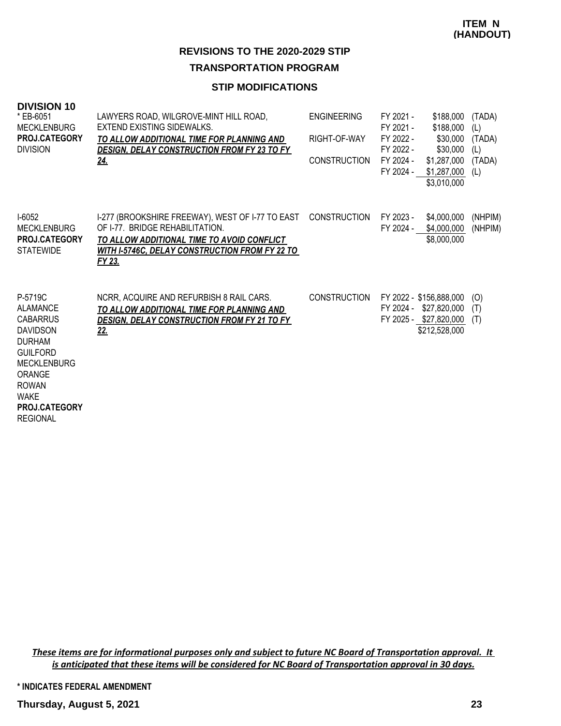# **TRANSPORTATION PROGRAM**

### **STIP MODIFICATIONS**

| <b>DIVISION 10</b><br>* EB-6051<br><b>MECKLENBURG</b><br>PROJ.CATEGORY<br><b>DIVISION</b>                                                                                                                             | LAWYERS ROAD, WILGROVE-MINT HILL ROAD,<br><b>EXTEND EXISTING SIDEWALKS.</b><br>TO ALLOW ADDITIONAL TIME FOR PLANNING AND<br><b>DESIGN, DELAY CONSTRUCTION FROM FY 23 TO FY</b><br>24.                      | <b>ENGINEERING</b><br>RIGHT-OF-WAY<br><b>CONSTRUCTION</b> | FY 2021 -<br>\$188,000<br>\$188,000<br>FY 2021 -<br>FY 2022 -<br>\$30,000<br>FY 2022 -<br>\$30,000<br>FY 2024 -<br>\$1,287,000<br>FY 2024 -<br>\$1,287,000<br>\$3,010,000 | (TADA)<br>(L)<br>(TADA)<br>(L)<br>(TADA)<br>(L) |
|-----------------------------------------------------------------------------------------------------------------------------------------------------------------------------------------------------------------------|------------------------------------------------------------------------------------------------------------------------------------------------------------------------------------------------------------|-----------------------------------------------------------|---------------------------------------------------------------------------------------------------------------------------------------------------------------------------|-------------------------------------------------|
| $I-6052$<br><b>MECKLENBURG</b><br><b>PROJ.CATEGORY</b><br><b>STATEWIDE</b>                                                                                                                                            | I-277 (BROOKSHIRE FREEWAY), WEST OF I-77 TO EAST CONSTRUCTION<br>OF 1-77. BRIDGE REHABILITATION.<br>TO ALLOW ADDITIONAL TIME TO AVOID CONFLICT<br>WITH I-5746C, DELAY CONSTRUCTION FROM FY 22 TO<br>FY 23. |                                                           | FY 2023 -<br>\$4,000,000<br>FY 2024 -<br>\$4,000,000<br>\$8,000,000                                                                                                       | (NHPIM)<br>(NHPIM)                              |
| P-5719C<br><b>ALAMANCE</b><br><b>CABARRUS</b><br><b>DAVIDSON</b><br><b>DURHAM</b><br><b>GUILFORD</b><br><b>MECKLENBURG</b><br><b>ORANGE</b><br><b>ROWAN</b><br><b>WAKE</b><br><b>PROJ.CATEGORY</b><br><b>REGIONAL</b> | NCRR, ACQUIRE AND REFURBISH 8 RAIL CARS.<br>TO ALLOW ADDITIONAL TIME FOR PLANNING AND<br><b>DESIGN, DELAY CONSTRUCTION FROM FY 21 TO FY</b><br><u>22.</u>                                                  | <b>CONSTRUCTION</b>                                       | FY 2022 - \$156,888,000<br>FY 2024 - \$27,820,000<br>FY 2025 - \$27,820,000<br>\$212,528,000                                                                              | (O)<br>(T)<br>(T)                               |

*These items are for informational purposes only and subject to future NC Board of Transportation approval. It is anticipated that these items will be considered for NC Board of Transportation approval in 30 days.*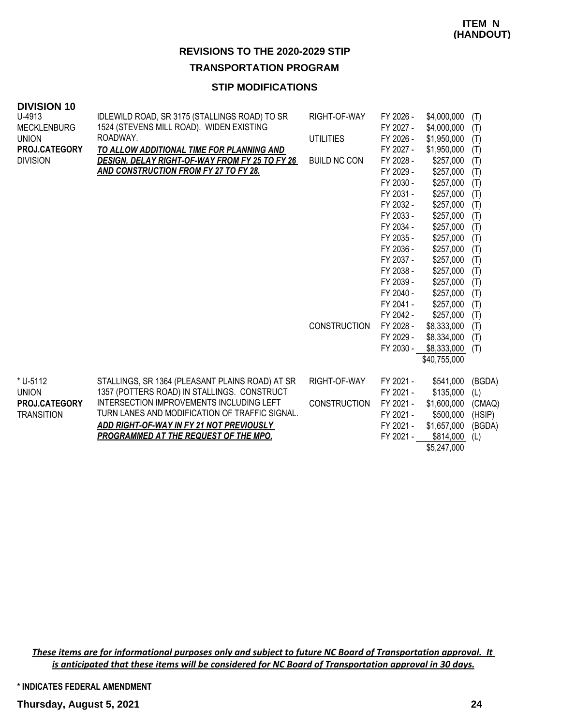### **TRANSPORTATION PROGRAM**

# **STIP MODIFICATIONS**

| טו ויטוטוע         |                                                       |                     |                     |                                                                                         |                                                                                                               |
|--------------------|-------------------------------------------------------|---------------------|---------------------|-----------------------------------------------------------------------------------------|---------------------------------------------------------------------------------------------------------------|
| U-4913             | IDLEWILD ROAD, SR 3175 (STALLINGS ROAD) TO SR         | RIGHT-OF-WAY        | FY 2026 -           | \$4,000,000                                                                             | (T)                                                                                                           |
| <b>MECKLENBURG</b> | 1524 (STEVENS MILL ROAD). WIDEN EXISTING              |                     | FY 2027 -           | \$4,000,000                                                                             | (T)                                                                                                           |
| <b>UNION</b>       | ROADWAY.                                              | <b>UTILITIES</b>    | FY 2026 -           | \$1,950,000                                                                             | (T)                                                                                                           |
| PROJ.CATEGORY      | TO ALLOW ADDITIONAL TIME FOR PLANNING AND             |                     | FY 2027 -           | \$1,950,000                                                                             | (T)                                                                                                           |
| <b>DIVISION</b>    | <b>DESIGN, DELAY RIGHT-OF-WAY FROM FY 25 TO FY 26</b> | <b>BUILD NC CON</b> | FY 2028 -           | \$257,000                                                                               | (T)                                                                                                           |
|                    | <b>AND CONSTRUCTION FROM FY 27 TO FY 28.</b>          |                     | FY 2029 -           | \$257,000                                                                               | (T)                                                                                                           |
|                    |                                                       |                     | FY 2030 -           | \$257,000                                                                               | (T)                                                                                                           |
|                    |                                                       |                     | FY 2031 -           | \$257,000                                                                               | (T)                                                                                                           |
|                    |                                                       |                     | FY 2032 -           | \$257,000                                                                               | (T)                                                                                                           |
|                    |                                                       |                     | FY 2033 -           | \$257,000                                                                               | (T)                                                                                                           |
|                    |                                                       |                     | FY 2034 -           | \$257,000                                                                               | (T)                                                                                                           |
|                    |                                                       |                     | FY 2035 -           | \$257,000                                                                               | (T)                                                                                                           |
|                    |                                                       |                     | FY 2036 -           | \$257,000                                                                               | (T)                                                                                                           |
|                    |                                                       |                     | FY 2037 -           | \$257,000                                                                               | (T)                                                                                                           |
|                    |                                                       |                     |                     |                                                                                         | (T)                                                                                                           |
|                    |                                                       |                     |                     |                                                                                         | (T)                                                                                                           |
|                    |                                                       |                     |                     | \$257,000                                                                               | (T)                                                                                                           |
|                    |                                                       |                     | FY 2041 -           | \$257,000                                                                               | (T)                                                                                                           |
|                    |                                                       |                     |                     |                                                                                         | (T)                                                                                                           |
|                    |                                                       |                     |                     |                                                                                         | (T)                                                                                                           |
|                    |                                                       |                     |                     |                                                                                         | (T)                                                                                                           |
|                    |                                                       |                     |                     |                                                                                         | (T)                                                                                                           |
|                    |                                                       |                     |                     |                                                                                         |                                                                                                               |
| * U-5112           | STALLINGS, SR 1364 (PLEASANT PLAINS ROAD) AT SR       | RIGHT-OF-WAY        | FY 2021 -           | \$541,000                                                                               | (BGDA)                                                                                                        |
| <b>UNION</b>       | 1357 (POTTERS ROAD) IN STALLINGS. CONSTRUCT           |                     | FY 2021 -           |                                                                                         | (L)                                                                                                           |
| PROJ.CATEGORY      | INTERSECTION IMPROVEMENTS INCLUDING LEFT              | <b>CONSTRUCTION</b> | FY 2021 -           | \$1,600,000                                                                             | (CMAQ)                                                                                                        |
| <b>TRANSITION</b>  | TURN LANES AND MODIFICATION OF TRAFFIC SIGNAL.        |                     | FY 2021 -           | \$500,000                                                                               | (HSIP)                                                                                                        |
|                    | ADD RIGHT-OF-WAY IN FY 21 NOT PREVIOUSLY              |                     | FY 2021 -           | \$1,657,000                                                                             | (BGDA)                                                                                                        |
|                    | PROGRAMMED AT THE REQUEST OF THE MPO.                 |                     | FY 2021 -           | \$814,000                                                                               | (L)                                                                                                           |
|                    |                                                       |                     |                     | \$5,247,000                                                                             |                                                                                                               |
|                    |                                                       |                     | <b>CONSTRUCTION</b> | FY 2038 -<br>FY 2039 -<br>FY 2040 -<br>FY 2042 -<br>FY 2028 -<br>FY 2029 -<br>FY 2030 - | \$257,000<br>\$257,000<br>\$257,000<br>\$8,333,000<br>\$8,334,000<br>\$8,333,000<br>\$40,755,000<br>\$135,000 |

*These items are for informational purposes only and subject to future NC Board of Transportation approval. It is anticipated that these items will be considered for NC Board of Transportation approval in 30 days.*

**DIVISION 10**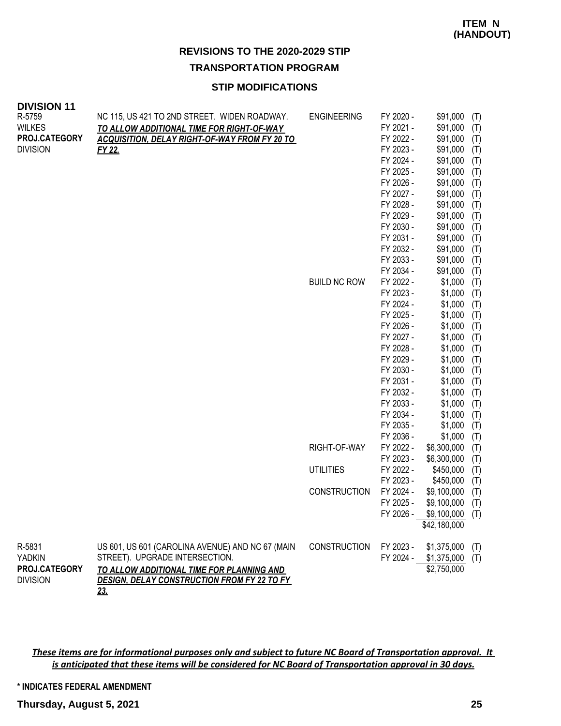# **TRANSPORTATION PROGRAM**

# **STIP MODIFICATIONS**

| <b>DIVISION 11</b><br>R-5759<br><b>WILKES</b><br>PROJ.CATEGORY<br><b>DIVISION</b> | NC 115, US 421 TO 2ND STREET. WIDEN ROADWAY.<br>TO ALLOW ADDITIONAL TIME FOR RIGHT-OF-WAY<br><b>ACQUISITION, DELAY RIGHT-OF-WAY FROM FY 20 TO</b><br>FY 22.                                         | <b>ENGINEERING</b>  | FY 2020 -<br>FY 2021 -<br>FY 2022 -<br>FY 2023 -                           | \$91,000<br>\$91,000<br>\$91,000<br>\$91,000                         | (T)<br>(T)<br>(T)<br>(T)               |
|-----------------------------------------------------------------------------------|-----------------------------------------------------------------------------------------------------------------------------------------------------------------------------------------------------|---------------------|----------------------------------------------------------------------------|----------------------------------------------------------------------|----------------------------------------|
|                                                                                   |                                                                                                                                                                                                     |                     | FY 2024 -<br>FY 2025 -<br>FY 2026 -<br>FY 2027 -<br>FY 2028 -<br>FY 2029 - | \$91,000<br>\$91,000<br>\$91,000<br>\$91,000<br>\$91,000<br>\$91,000 | (T)<br>(T)<br>(T)<br>(T)<br>(T)<br>(T) |
|                                                                                   |                                                                                                                                                                                                     |                     | FY 2030 -<br>FY 2031 -<br>FY 2032 -<br>FY 2033 -<br>FY 2034 -              | \$91,000<br>\$91,000<br>\$91,000<br>\$91,000<br>\$91,000             | (T)<br>(T)<br>(T)<br>(T)<br>(T)        |
|                                                                                   |                                                                                                                                                                                                     | <b>BUILD NC ROW</b> | FY 2022 -<br>FY 2023 -<br>FY 2024 -<br>FY 2025 -<br>FY 2026 -              | \$1,000<br>\$1,000<br>\$1,000<br>\$1,000<br>\$1,000                  | (T)<br>(T)<br>(T)<br>(T)<br>(T)        |
|                                                                                   |                                                                                                                                                                                                     |                     | FY 2027 -<br>FY 2028 -<br>FY 2029 -<br>FY 2030 -<br>FY 2031 -              | \$1,000<br>\$1,000<br>\$1,000<br>\$1,000<br>\$1,000                  | (T)<br>(T)<br>(T)<br>(T)<br>(T)        |
|                                                                                   |                                                                                                                                                                                                     |                     | FY 2032 -<br>FY 2033 -<br>FY 2034 -<br>FY 2035 -                           | \$1,000<br>\$1,000<br>\$1,000<br>\$1,000                             | (T)<br>(T)<br>(T)<br>(T)               |
|                                                                                   |                                                                                                                                                                                                     | RIGHT-OF-WAY        | FY 2036 -<br>FY 2022 -<br>FY 2023 -                                        | \$1,000<br>\$6,300,000<br>\$6,300,000                                | (T)<br>(T)<br>(T)                      |
|                                                                                   |                                                                                                                                                                                                     | <b>UTILITIES</b>    | FY 2022 -<br>FY 2023 -                                                     | \$450,000<br>\$450,000                                               | (T)<br>(T)                             |
|                                                                                   |                                                                                                                                                                                                     | <b>CONSTRUCTION</b> | FY 2024 -<br>FY 2025 -                                                     | \$9,100,000<br>\$9,100,000<br>FY 2026 - \$9,100,000<br>\$42,180,000  | (T)<br>(T)<br>(T)                      |
| R-5831<br><b>YADKIN</b><br>PROJ.CATEGORY<br><b>DIVISION</b>                       | US 601, US 601 (CAROLINA AVENUE) AND NC 67 (MAIN<br>STREET). UPGRADE INTERSECTION.<br>TO ALLOW ADDITIONAL TIME FOR PLANNING AND<br><b>DESIGN, DELAY CONSTRUCTION FROM FY 22 TO FY</b><br><u>23.</u> | <b>CONSTRUCTION</b> | FY 2023 -<br>FY 2024 -                                                     | \$1,375,000<br>\$1,375,000<br>\$2,750,000                            | (T)<br>(T)                             |

*These items are for informational purposes only and subject to future NC Board of Transportation approval. It is anticipated that these items will be considered for NC Board of Transportation approval in 30 days.*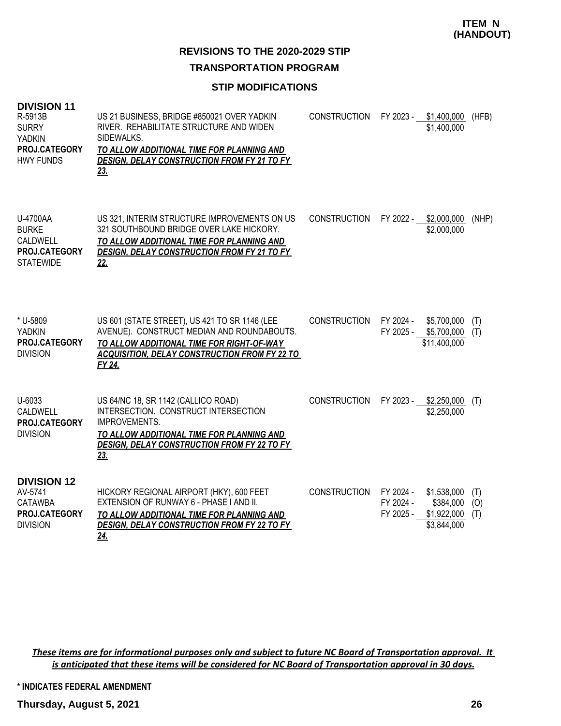### **TRANSPORTATION PROGRAM**

### **STIP MODIFICATIONS**

| <b>DIVISION 11</b><br>R-5913B<br><b>SURRY</b><br><b>YADKIN</b><br>PROJ.CATEGORY<br><b>HWY FUNDS</b> | US 21 BUSINESS, BRIDGE #850021 OVER YADKIN<br>RIVER. REHABILITATE STRUCTURE AND WIDEN<br>SIDEWALKS.<br>TO ALLOW ADDITIONAL TIME FOR PLANNING AND<br><b>DESIGN, DELAY CONSTRUCTION FROM FY 21 TO FY</b><br>23. | <b>CONSTRUCTION</b> | FY 2023 -                           | \$1,400,000<br>\$1,400,000                             | (HFB)             |
|-----------------------------------------------------------------------------------------------------|---------------------------------------------------------------------------------------------------------------------------------------------------------------------------------------------------------------|---------------------|-------------------------------------|--------------------------------------------------------|-------------------|
| U-4700AA<br><b>BURKE</b><br><b>CALDWELL</b><br>PROJ.CATEGORY<br><b>STATEWIDE</b>                    | US 321, INTERIM STRUCTURE IMPROVEMENTS ON US<br>321 SOUTHBOUND BRIDGE OVER LAKE HICKORY.<br>TO ALLOW ADDITIONAL TIME FOR PLANNING AND<br><b>DESIGN, DELAY CONSTRUCTION FROM FY 21 TO FY</b><br>22.            | <b>CONSTRUCTION</b> |                                     | FY 2022 - \$2,000,000<br>\$2,000,000                   | (NHP)             |
| * U-5809<br><b>YADKIN</b><br>PROJ.CATEGORY<br><b>DIVISION</b>                                       | US 601 (STATE STREET), US 421 TO SR 1146 (LEE<br>AVENUE). CONSTRUCT MEDIAN AND ROUNDABOUTS.<br>TO ALLOW ADDITIONAL TIME FOR RIGHT-OF-WAY<br><b>ACQUISITION, DELAY CONSTRUCTION FROM FY 22 TO</b><br>FY 24.    | <b>CONSTRUCTION</b> | FY 2024 -<br>FY 2025 -              | \$5,700,000<br>\$5,700,000<br>\$11,400,000             | (T)<br>(T)        |
| U-6033<br>CALDWELL<br>PROJ.CATEGORY<br><b>DIVISION</b>                                              | US 64/NC 18, SR 1142 (CALLICO ROAD)<br>INTERSECTION. CONSTRUCT INTERSECTION<br>IMPROVEMENTS.<br>TO ALLOW ADDITIONAL TIME FOR PLANNING AND<br>DESIGN, DELAY CONSTRUCTION FROM FY 22 TO FY<br><u>23.</u>        | <b>CONSTRUCTION</b> | FY 2023 -                           | \$2,250,000<br>\$2,250,000                             | (T)               |
| <b>DIVISION 12</b><br>AV-5741<br><b>CATAWBA</b><br>PROJ.CATEGORY<br><b>DIVISION</b>                 | HICKORY REGIONAL AIRPORT (HKY), 600 FEET<br>EXTENSION OF RUNWAY 6 - PHASE I AND II.<br>TO ALLOW ADDITIONAL TIME FOR PLANNING AND<br><b>DESIGN, DELAY CONSTRUCTION FROM FY 22 TO FY</b><br><u>24.</u>          | <b>CONSTRUCTION</b> | FY 2024 -<br>FY 2024 -<br>FY 2025 - | \$1,538,000<br>\$384,000<br>\$1,922,000<br>\$3,844,000 | (T)<br>(O)<br>(T) |

*These items are for informational purposes only and subject to future NC Board of Transportation approval. It is anticipated that these items will be considered for NC Board of Transportation approval in 30 days.*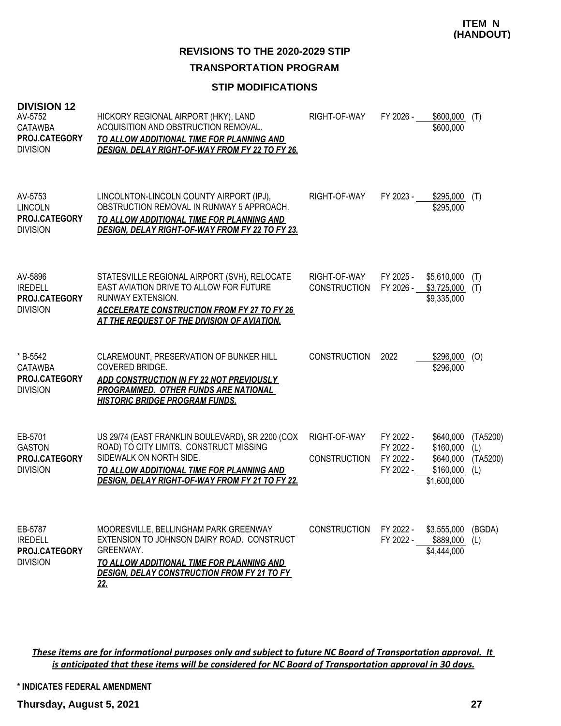**TRANSPORTATION PROGRAM**

### **STIP MODIFICATIONS**

| <b>DIVISION 12</b><br>AV-5752<br><b>CATAWBA</b><br><b>PROJ.CATEGORY</b><br><b>DIVISION</b> | HICKORY REGIONAL AIRPORT (HKY), LAND<br>ACQUISITION AND OBSTRUCTION REMOVAL.<br>TO ALLOW ADDITIONAL TIME FOR PLANNING AND<br><b>DESIGN, DELAY RIGHT-OF-WAY FROM FY 22 TO FY 26.</b>                                           | RIGHT-OF-WAY                        | FY 2026 -                                        | \$600,000<br>\$600,000                                          | (T)                                |
|--------------------------------------------------------------------------------------------|-------------------------------------------------------------------------------------------------------------------------------------------------------------------------------------------------------------------------------|-------------------------------------|--------------------------------------------------|-----------------------------------------------------------------|------------------------------------|
| AV-5753<br><b>LINCOLN</b><br><b>PROJ.CATEGORY</b><br><b>DIVISION</b>                       | LINCOLNTON-LINCOLN COUNTY AIRPORT (IPJ),<br>OBSTRUCTION REMOVAL IN RUNWAY 5 APPROACH.<br>TO ALLOW ADDITIONAL TIME FOR PLANNING AND<br><b>DESIGN, DELAY RIGHT-OF-WAY FROM FY 22 TO FY 23.</b>                                  | RIGHT-OF-WAY                        | FY 2023 -                                        | \$295,000<br>\$295,000                                          | (T)                                |
| AV-5896<br><b>IREDELL</b><br>PROJ.CATEGORY<br><b>DIVISION</b>                              | STATESVILLE REGIONAL AIRPORT (SVH), RELOCATE<br>EAST AVIATION DRIVE TO ALLOW FOR FUTURE<br>RUNWAY EXTENSION.<br><b>ACCELERATE CONSTRUCTION FROM FY 27 TO FY 26</b><br>AT THE REQUEST OF THE DIVISION OF AVIATION.             | RIGHT-OF-WAY<br><b>CONSTRUCTION</b> | FY 2025 -<br>FY 2026 -                           | \$5,610,000<br>\$3,725,000<br>\$9,335,000                       | (T)<br>(T)                         |
| * B-5542<br><b>CATAWBA</b><br><b>PROJ.CATEGORY</b><br><b>DIVISION</b>                      | CLAREMOUNT, PRESERVATION OF BUNKER HILL<br>COVERED BRIDGE.<br>ADD CONSTRUCTION IN FY 22 NOT PREVIOUSLY<br><b>PROGRAMMED. OTHER FUNDS ARE NATIONAL</b><br><u>HISTORIC BRIDGE PROGRAM FUNDS.</u>                                | <b>CONSTRUCTION</b>                 | 2022                                             | \$296,000<br>\$296,000                                          | (0)                                |
| EB-5701<br><b>GASTON</b><br><b>PROJ.CATEGORY</b><br><b>DIVISION</b>                        | US 29/74 (EAST FRANKLIN BOULEVARD), SR 2200 (COX<br>ROAD) TO CITY LIMITS. CONSTRUCT MISSING<br>SIDEWALK ON NORTH SIDE.<br>TO ALLOW ADDITIONAL TIME FOR PLANNING AND<br><b>DESIGN, DELAY RIGHT-OF-WAY FROM FY 21 TO FY 22.</b> | RIGHT-OF-WAY<br><b>CONSTRUCTION</b> | FY 2022 -<br>FY 2022 -<br>FY 2022 -<br>FY 2022 - | \$640,000<br>\$160,000<br>\$640,000<br>\$160,000<br>\$1,600,000 | (TA5200)<br>(L)<br>(TA5200)<br>(L) |
| EB-5787<br><b>IREDELL</b><br><b>PROJ.CATEGORY</b><br><b>DIVISION</b>                       | MOORESVILLE, BELLINGHAM PARK GREENWAY<br>EXTENSION TO JOHNSON DAIRY ROAD. CONSTRUCT<br>GREENWAY.<br>TO ALLOW ADDITIONAL TIME FOR PLANNING AND<br><b>DESIGN, DELAY CONSTRUCTION FROM FY 21 TO FY</b><br><u>22.</u>             | <b>CONSTRUCTION</b>                 | FY 2022 -<br>FY 2022 -                           | \$3,555,000<br>\$889,000<br>\$4,444,000                         | (BGDA)<br>(L)                      |

*These items are for informational purposes only and subject to future NC Board of Transportation approval. It is anticipated that these items will be considered for NC Board of Transportation approval in 30 days.*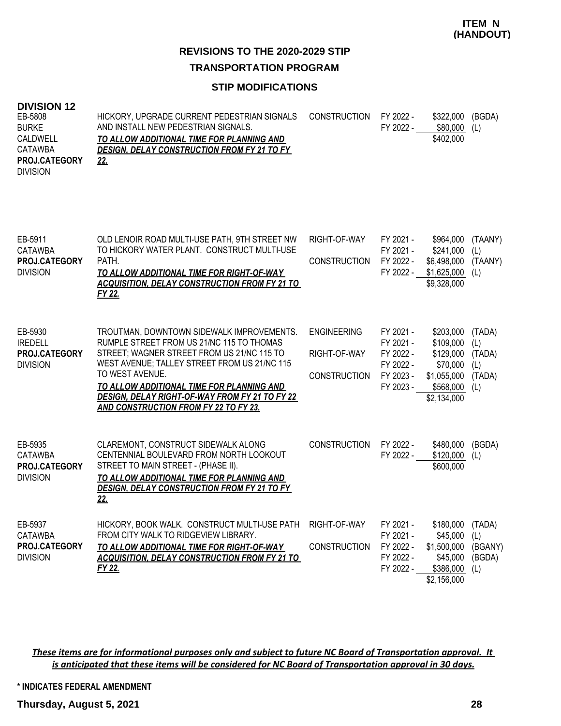### **TRANSPORTATION PROGRAM**

### **STIP MODIFICATIONS**

#### **DIVISION 12**

| EB-5808<br><b>BURKE</b><br>CALDWELL<br><b>CATAWBA</b><br>PROJ.CATEGORY<br><b>DIVISION</b> | HICKORY, UPGRADE CURRENT PEDESTRIAN SIGNALS<br>AND INSTALL NEW PEDESTRIAN SIGNALS.<br>TO ALLOW ADDITIONAL TIME FOR PLANNING AND<br><b>DESIGN, DELAY CONSTRUCTION FROM FY 21 TO FY</b><br>22.                                                                                                                                                    | <b>CONSTRUCTION</b>                                       | FY 2022 -<br>FY 2022 -                                                     | \$322,000<br>\$80,000<br>\$402,000                                                         | (BGDA)<br>(L)                                   |
|-------------------------------------------------------------------------------------------|-------------------------------------------------------------------------------------------------------------------------------------------------------------------------------------------------------------------------------------------------------------------------------------------------------------------------------------------------|-----------------------------------------------------------|----------------------------------------------------------------------------|--------------------------------------------------------------------------------------------|-------------------------------------------------|
| EB-5911<br>CATAWBA<br>PROJ.CATEGORY<br><b>DIVISION</b>                                    | OLD LENOIR ROAD MULTI-USE PATH, 9TH STREET NW<br>TO HICKORY WATER PLANT. CONSTRUCT MULTI-USE<br>PATH.<br>TO ALLOW ADDITIONAL TIME FOR RIGHT-OF-WAY<br>ACQUISITION. DELAY CONSTRUCTION FROM FY 21 TO<br>FY 22.                                                                                                                                   | RIGHT-OF-WAY<br><b>CONSTRUCTION</b>                       | FY 2021 -<br>FY 2021 -<br>FY 2022 -<br>FY 2022 -                           | \$964,000<br>\$241,000<br>\$6,498,000<br>\$1,625,000<br>\$9,328,000                        | (TAANY)<br>(L)<br>(TAANY)<br>(L)                |
| EB-5930<br><b>IREDELL</b><br>PROJ.CATEGORY<br><b>DIVISION</b>                             | TROUTMAN, DOWNTOWN SIDEWALK IMPROVEMENTS.<br>RUMPLE STREET FROM US 21/NC 115 TO THOMAS<br>STREET; WAGNER STREET FROM US 21/NC 115 TO<br>WEST AVENUE; TALLEY STREET FROM US 21/NC 115<br>TO WEST AVENUE.<br>TO ALLOW ADDITIONAL TIME FOR PLANNING AND<br>DESIGN, DELAY RIGHT-OF-WAY FROM FY 21 TO FY 22<br>AND CONSTRUCTION FROM FY 22 TO FY 23. | <b>ENGINEERING</b><br>RIGHT-OF-WAY<br><b>CONSTRUCTION</b> | FY 2021 -<br>FY 2021 -<br>FY 2022 -<br>FY 2022 -<br>FY 2023 -<br>FY 2023 - | \$203.000<br>\$109,000<br>\$129,000<br>\$70,000<br>\$1,055,000<br>\$568,000<br>\$2,134,000 | (TADA)<br>(L)<br>(TADA)<br>(L)<br>(TADA)<br>(L) |
| EB-5935<br><b>CATAWBA</b><br><b>PROJ.CATEGORY</b><br><b>DIVISION</b>                      | CLAREMONT, CONSTRUCT SIDEWALK ALONG<br>CENTENNIAL BOULEVARD FROM NORTH LOOKOUT<br>STREET TO MAIN STREET - (PHASE II).<br>TO ALLOW ADDITIONAL TIME FOR PLANNING AND<br><b>DESIGN, DELAY CONSTRUCTION FROM FY 21 TO FY</b><br>22.                                                                                                                 | <b>CONSTRUCTION</b>                                       | FY 2022 -<br>FY 2022 -                                                     | \$480,000<br>\$120,000<br>\$600,000                                                        | (BGDA)<br>(L)                                   |
| EB-5937<br><b>CATAWBA</b><br>PROJ.CATEGORY<br><b>DIVISION</b>                             | HICKORY, BOOK WALK. CONSTRUCT MULTI-USE PATH<br>FROM CITY WALK TO RIDGEVIEW LIBRARY.<br>TO ALLOW ADDITIONAL TIME FOR RIGHT-OF-WAY<br><b>ACQUISITION, DELAY CONSTRUCTION FROM FY 21 TO</b><br>FY 22.                                                                                                                                             | RIGHT-OF-WAY<br><b>CONSTRUCTION</b>                       | FY 2021 -<br>FY 2021 -<br>FY 2022 -<br>FY 2022 -<br>FY 2022 -              | \$180,000<br>\$45,000<br>\$1,500,000<br>\$45,000<br>\$386,000<br>\$2,156,000               | (TADA)<br>(L)<br>(BGANY)<br>(BGDA)<br>(L)       |

*These items are for informational purposes only and subject to future NC Board of Transportation approval. It is anticipated that these items will be considered for NC Board of Transportation approval in 30 days.*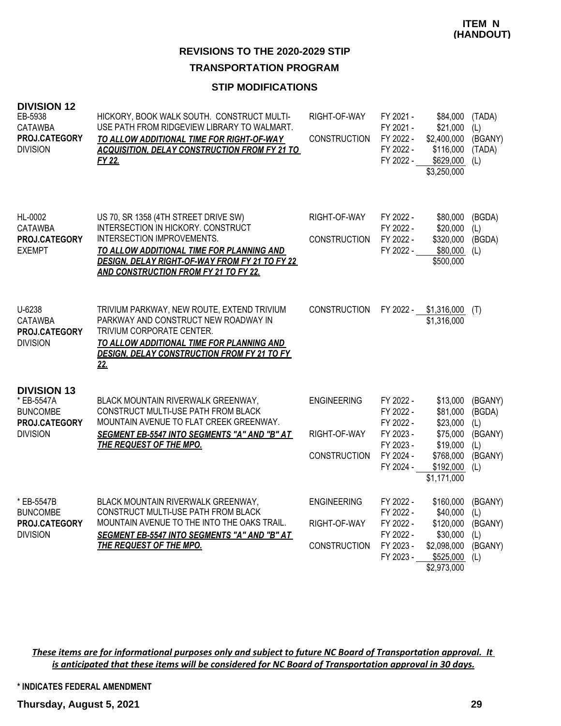## **TRANSPORTATION PROGRAM**

### **STIP MODIFICATIONS**

| <b>DIVISION 12</b><br>EB-5938<br><b>CATAWBA</b><br>PROJ.CATEGORY<br><b>DIVISION</b>     | HICKORY, BOOK WALK SOUTH. CONSTRUCT MULTI-<br>USE PATH FROM RIDGEVIEW LIBRARY TO WALMART.<br>TO ALLOW ADDITIONAL TIME FOR RIGHT-OF-WAY<br><b>ACQUISITION, DELAY CONSTRUCTION FROM FY 21 TO</b><br>FY 22.                                                       | RIGHT-OF-WAY<br><b>CONSTRUCTION</b>                       | FY 2021 -<br>FY 2021 -<br>FY 2022 -<br>FY 2022 -<br>FY 2022 -                           | \$84,000<br>\$21,000<br>\$2,400,000<br>\$116,000<br>\$629,000<br>\$3,250,000                      | (TADA)<br>(L)<br>(BGANY)<br>(TADA)<br>(L)                    |
|-----------------------------------------------------------------------------------------|----------------------------------------------------------------------------------------------------------------------------------------------------------------------------------------------------------------------------------------------------------------|-----------------------------------------------------------|-----------------------------------------------------------------------------------------|---------------------------------------------------------------------------------------------------|--------------------------------------------------------------|
| HL-0002<br><b>CATAWBA</b><br>PROJ.CATEGORY<br><b>EXEMPT</b>                             | US 70, SR 1358 (4TH STREET DRIVE SW)<br>INTERSECTION IN HICKORY. CONSTRUCT<br>INTERSECTION IMPROVEMENTS.<br>TO ALLOW ADDITIONAL TIME FOR PLANNING AND<br><b>DESIGN, DELAY RIGHT-OF-WAY FROM FY 21 TO FY 22</b><br><b>AND CONSTRUCTION FROM FY 21 TO FY 22.</b> | RIGHT-OF-WAY<br><b>CONSTRUCTION</b>                       | FY 2022 -<br>FY 2022 -<br>FY 2022 -<br>FY 2022 -                                        | \$80,000<br>\$20,000<br>\$320,000<br>\$80,000<br>\$500,000                                        | (BGDA)<br>(L)<br>(BGDA)<br>(L)                               |
| U-6238<br><b>CATAWBA</b><br>PROJ.CATEGORY<br><b>DIVISION</b>                            | TRIVIUM PARKWAY, NEW ROUTE, EXTEND TRIVIUM<br>PARKWAY AND CONSTRUCT NEW ROADWAY IN<br>TRIVIUM CORPORATE CENTER.<br>TO ALLOW ADDITIONAL TIME FOR PLANNING AND<br>DESIGN, DELAY CONSTRUCTION FROM FY 21 TO FY<br><u>22.</u>                                      | <b>CONSTRUCTION</b>                                       | FY 2022 -                                                                               | \$1,316,000<br>\$1,316,000                                                                        | (T)                                                          |
| <b>DIVISION 13</b><br>* EB-5547A<br><b>BUNCOMBE</b><br>PROJ.CATEGORY<br><b>DIVISION</b> | BLACK MOUNTAIN RIVERWALK GREENWAY,<br>CONSTRUCT MULTI-USE PATH FROM BLACK<br>MOUNTAIN AVENUE TO FLAT CREEK GREENWAY.<br>SEGMENT EB-5547 INTO SEGMENTS "A" AND "B" AT<br>THE REQUEST OF THE MPO.                                                                | <b>ENGINEERING</b><br>RIGHT-OF-WAY<br><b>CONSTRUCTION</b> | FY 2022 -<br>FY 2022 -<br>FY 2022 -<br>FY 2023 -<br>FY 2023 -<br>FY 2024 -<br>FY 2024 - | \$13,000<br>\$81,000<br>\$23,000<br>\$75,000<br>\$19,000<br>\$768,000<br>\$192,000<br>\$1,171,000 | (BGANY)<br>(BGDA)<br>(L)<br>(BGANY)<br>(L)<br>(BGANY)<br>(L) |
| * EB-5547B<br><b>BUNCOMBE</b><br>PROJ.CATEGORY<br><b>DIVISION</b>                       | BLACK MOUNTAIN RIVERWALK GREENWAY,<br>CONSTRUCT MULTI-USE PATH FROM BLACK<br>MOUNTAIN AVENUE TO THE INTO THE OAKS TRAIL.<br>SEGMENT EB-5547 INTO SEGMENTS "A" AND "B" AT<br><b>THE REQUEST OF THE MPO.</b>                                                     | <b>ENGINEERING</b><br>RIGHT-OF-WAY<br><b>CONSTRUCTION</b> | FY 2022 -<br>FY 2022 -<br>FY 2022 -<br>FY 2022 -<br>FY 2023 -<br>FY 2023 -              | \$160,000<br>\$40,000<br>\$120,000<br>\$30,000<br>\$2,098,000<br>\$525,000<br>\$2,973,000         | (BGANY)<br>(L)<br>(BGANY)<br>(L)<br>(BGANY)<br>(L)           |

*These items are for informational purposes only and subject to future NC Board of Transportation approval. It is anticipated that these items will be considered for NC Board of Transportation approval in 30 days.*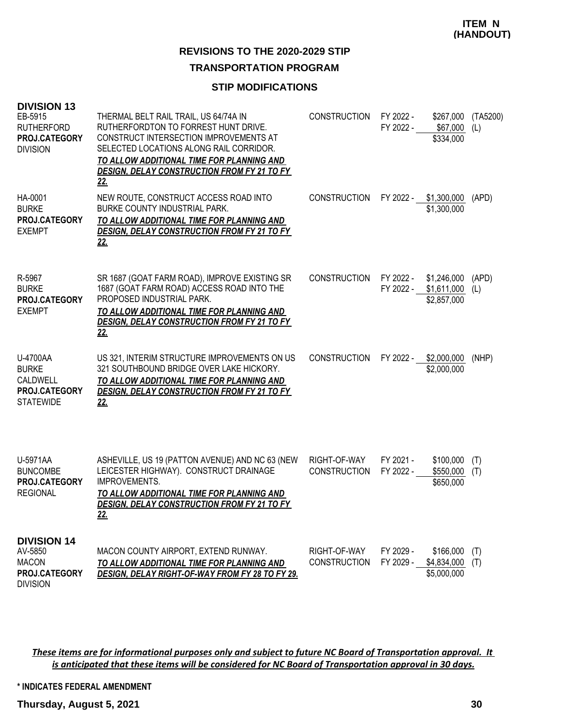### **TRANSPORTATION PROGRAM**

## **STIP MODIFICATIONS**

| <b>DIVISION 13</b><br>EB-5915<br><b>RUTHERFORD</b><br>PROJ.CATEGORY<br><b>DIVISION</b> | THERMAL BELT RAIL TRAIL, US 64/74A IN<br>RUTHERFORDTON TO FORREST HUNT DRIVE.<br>CONSTRUCT INTERSECTION IMPROVEMENTS AT<br>SELECTED LOCATIONS ALONG RAIL CORRIDOR.<br>TO ALLOW ADDITIONAL TIME FOR PLANNING AND<br><b>DESIGN, DELAY CONSTRUCTION FROM FY 21 TO FY</b><br>22. | <b>CONSTRUCTION</b>                 | FY 2022 -<br>FY 2022 - | \$267,000<br>\$67,000<br>\$334,000        | (TA5200)<br>(L) |
|----------------------------------------------------------------------------------------|------------------------------------------------------------------------------------------------------------------------------------------------------------------------------------------------------------------------------------------------------------------------------|-------------------------------------|------------------------|-------------------------------------------|-----------------|
| HA-0001<br><b>BURKE</b><br>PROJ.CATEGORY<br><b>EXEMPT</b>                              | NEW ROUTE, CONSTRUCT ACCESS ROAD INTO<br>BURKE COUNTY INDUSTRIAL PARK.<br>TO ALLOW ADDITIONAL TIME FOR PLANNING AND<br><b>DESIGN, DELAY CONSTRUCTION FROM FY 21 TO FY</b><br><u>22.</u>                                                                                      | <b>CONSTRUCTION</b>                 |                        | FY 2022 - \$1,300,000<br>\$1,300,000      | (APD)           |
| R-5967<br><b>BURKE</b><br>PROJ.CATEGORY<br><b>EXEMPT</b>                               | SR 1687 (GOAT FARM ROAD), IMPROVE EXISTING SR<br>1687 (GOAT FARM ROAD) ACCESS ROAD INTO THE<br>PROPOSED INDUSTRIAL PARK.<br>TO ALLOW ADDITIONAL TIME FOR PLANNING AND<br><b>DESIGN, DELAY CONSTRUCTION FROM FY 21 TO FY</b><br><u>22.</u>                                    | <b>CONSTRUCTION</b>                 | FY 2022 -<br>FY 2022 - | \$1,246,000<br>\$1,611,000<br>\$2,857,000 | (APD)<br>(L)    |
| U-4700AA<br><b>BURKE</b><br>CALDWELL<br><b>PROJ.CATEGORY</b><br><b>STATEWIDE</b>       | US 321, INTERIM STRUCTURE IMPROVEMENTS ON US<br>321 SOUTHBOUND BRIDGE OVER LAKE HICKORY.<br>TO ALLOW ADDITIONAL TIME FOR PLANNING AND<br><b>DESIGN, DELAY CONSTRUCTION FROM FY 21 TO FY</b><br>22.                                                                           | <b>CONSTRUCTION</b>                 |                        | FY 2022 - \$2,000,000<br>\$2,000,000      | (NHP)           |
| U-5971AA<br><b>BUNCOMBE</b><br>PROJ.CATEGORY<br><b>REGIONAL</b>                        | ASHEVILLE, US 19 (PATTON AVENUE) AND NC 63 (NEW<br>LEICESTER HIGHWAY). CONSTRUCT DRAINAGE<br><b>IMPROVEMENTS.</b><br>TO ALLOW ADDITIONAL TIME FOR PLANNING AND<br><b>DESIGN, DELAY CONSTRUCTION FROM FY 21 TO FY</b><br><u>22.</u>                                           | RIGHT-OF-WAY<br><b>CONSTRUCTION</b> | FY 2021 -<br>FY 2022 - | \$100,000<br>\$550,000<br>\$650,000       | (T)<br>(T)      |
| <b>DIVISION 14</b><br>AV-5850<br><b>MACON</b><br>PROJ.CATEGORY<br><b>DIVISION</b>      | MACON COUNTY AIRPORT, EXTEND RUNWAY.<br>TO ALLOW ADDITIONAL TIME FOR PLANNING AND<br>DESIGN, DELAY RIGHT-OF-WAY FROM FY 28 TO FY 29.                                                                                                                                         | RIGHT-OF-WAY<br><b>CONSTRUCTION</b> | FY 2029 -<br>FY 2029 - | \$166,000<br>\$4,834,000<br>\$5,000,000   | (T)<br>(T)      |

*These items are for informational purposes only and subject to future NC Board of Transportation approval. It is anticipated that these items will be considered for NC Board of Transportation approval in 30 days.*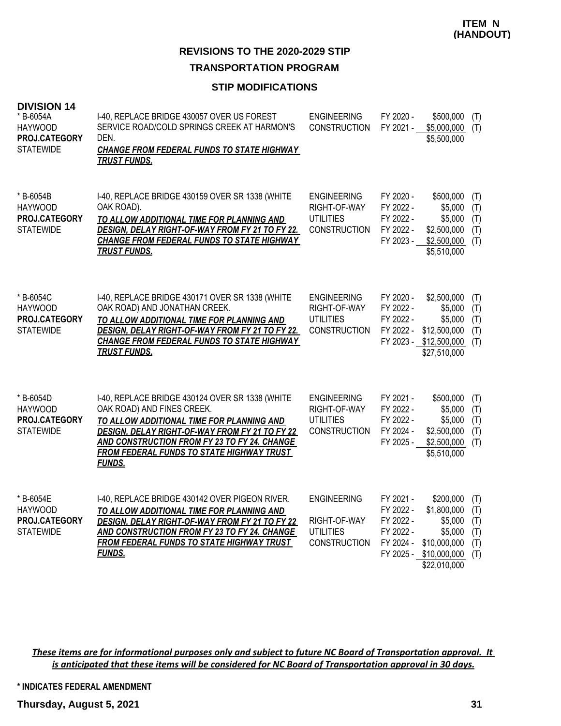# **TRANSPORTATION PROGRAM**

### **STIP MODIFICATIONS**

| <b>DIVISION 14</b><br>* B-6054A<br><b>HAYWOOD</b><br>PROJ.CATEGORY<br><b>STATEWIDE</b> | I-40, REPLACE BRIDGE 430057 OVER US FOREST<br>SERVICE ROAD/COLD SPRINGS CREEK AT HARMON'S<br>DEN.<br><b>CHANGE FROM FEDERAL FUNDS TO STATE HIGHWAY</b><br><b>TRUST FUNDS.</b>                                                                                                                     | <b>ENGINEERING</b><br><b>CONSTRUCTION</b>                                     | FY 2020 -<br>FY 2021 -                                        | \$500,000<br>\$5,000,000<br>\$5,500,000                                                                  | (T)<br>(T)                             |
|----------------------------------------------------------------------------------------|---------------------------------------------------------------------------------------------------------------------------------------------------------------------------------------------------------------------------------------------------------------------------------------------------|-------------------------------------------------------------------------------|---------------------------------------------------------------|----------------------------------------------------------------------------------------------------------|----------------------------------------|
| * B-6054B<br><b>HAYWOOD</b><br>PROJ.CATEGORY<br><b>STATEWIDE</b>                       | I-40, REPLACE BRIDGE 430159 OVER SR 1338 (WHITE<br>OAK ROAD).<br>TO ALLOW ADDITIONAL TIME FOR PLANNING AND<br><b>DESIGN, DELAY RIGHT-OF-WAY FROM FY 21 TO FY 22.</b><br><b>CHANGE FROM FEDERAL FUNDS TO STATE HIGHWAY</b><br><b>TRUST FUNDS.</b>                                                  | <b>ENGINEERING</b><br>RIGHT-OF-WAY<br><b>UTILITIES</b><br><b>CONSTRUCTION</b> | FY 2020 -<br>FY 2022 -<br>FY 2022 -<br>FY 2022 -<br>FY 2023 - | \$500,000<br>\$5,000<br>\$5,000<br>\$2,500,000<br>\$2,500,000<br>\$5,510,000                             | (T)<br>(T)<br>(T)<br>(T)<br>(T)        |
| * B-6054C<br><b>HAYWOOD</b><br>PROJ.CATEGORY<br><b>STATEWIDE</b>                       | I-40, REPLACE BRIDGE 430171 OVER SR 1338 (WHITE<br>OAK ROAD) AND JONATHAN CREEK.<br>TO ALLOW ADDITIONAL TIME FOR PLANNING AND<br>DESIGN, DELAY RIGHT-OF-WAY FROM FY 21 TO FY 22.<br>CHANGE FROM FEDERAL FUNDS TO STATE HIGHWAY<br><b>TRUST FUNDS.</b>                                             | <b>ENGINEERING</b><br>RIGHT-OF-WAY<br><b>UTILITIES</b><br><b>CONSTRUCTION</b> | FY 2020 -<br>FY 2022 -<br>FY 2022 -<br>FY 2022 -              | \$2,500,000<br>\$5,000<br>\$5,000<br>\$12,500,000<br>FY 2023 - \$12,500,000<br>\$27,510,000              | (T)<br>(T)<br>(T)<br>(T)<br>(T)        |
| * B-6054D<br><b>HAYWOOD</b><br>PROJ.CATEGORY<br><b>STATEWIDE</b>                       | I-40, REPLACE BRIDGE 430124 OVER SR 1338 (WHITE<br>OAK ROAD) AND FINES CREEK.<br>TO ALLOW ADDITIONAL TIME FOR PLANNING AND<br>DESIGN, DELAY RIGHT-OF-WAY FROM FY 21 TO FY 22<br>AND CONSTRUCTION FROM FY 23 TO FY 24. CHANGE<br><b>FROM FEDERAL FUNDS TO STATE HIGHWAY TRUST</b><br><b>FUNDS.</b> | <b>ENGINEERING</b><br>RIGHT-OF-WAY<br><b>UTILITIES</b><br><b>CONSTRUCTION</b> | FY 2021 -<br>FY 2022 -<br>FY 2022 -<br>FY 2024 -<br>FY 2025 - | \$500,000<br>\$5,000<br>\$5,000<br>\$2,500,000<br>\$2,500,000<br>\$5,510,000                             | (T)<br>(T)<br>(T)<br>(T)<br>(T)        |
| * B-6054E<br><b>HAYWOOD</b><br>PROJ.CATEGORY<br><b>STATEWIDE</b>                       | I-40, REPLACE BRIDGE 430142 OVER PIGEON RIVER.<br>TO ALLOW ADDITIONAL TIME FOR PLANNING AND<br>DESIGN, DELAY RIGHT-OF-WAY FROM FY 21 TO FY 22<br>AND CONSTRUCTION FROM FY 23 TO FY 24. CHANGE<br><b>FROM FEDERAL FUNDS TO STATE HIGHWAY TRUST</b><br><b>FUNDS.</b>                                | <b>ENGINEERING</b><br>RIGHT-OF-WAY<br><b>UTILITIES</b><br><b>CONSTRUCTION</b> | FY 2021 -<br>FY 2022 -<br>FY 2022 -<br>FY 2022 -<br>FY 2024 - | \$200,000<br>\$1,800,000<br>\$5,000<br>\$5,000<br>\$10,000,000<br>FY 2025 - \$10,000,000<br>\$22,010,000 | (T)<br>(T)<br>(T)<br>(T)<br>(T)<br>(T) |

*These items are for informational purposes only and subject to future NC Board of Transportation approval. It is anticipated that these items will be considered for NC Board of Transportation approval in 30 days.*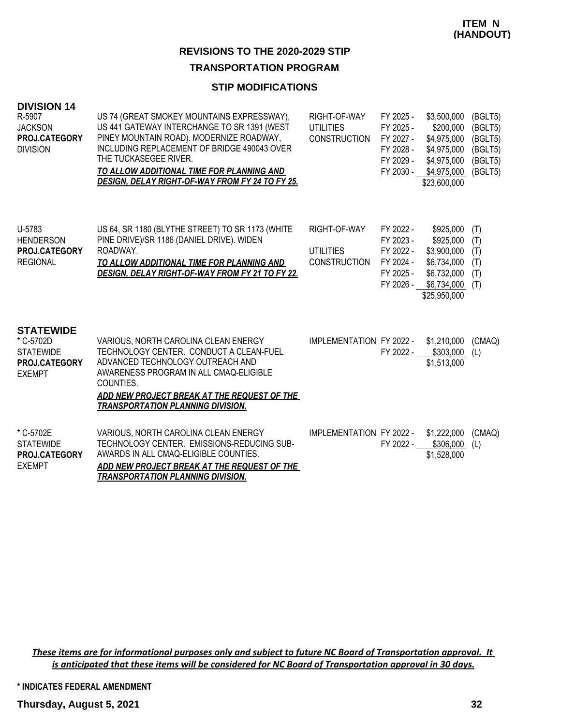### **TRANSPORTATION PROGRAM**

### **STIP MODIFICATIONS**

| <b>DIVISION 14</b> |
|--------------------|
|                    |

| R-5907<br><b>JACKSON</b><br>PROJ.CATEGORY<br><b>DIVISION</b>                        | US 74 (GREAT SMOKEY MOUNTAINS EXPRESSWAY),<br>US 441 GATEWAY INTERCHANGE TO SR 1391 (WEST<br>PINEY MOUNTAIN ROAD). MODERNIZE ROADWAY,<br>INCLUDING REPLACEMENT OF BRIDGE 490043 OVER<br>THE TUCKASEGEE RIVER.<br>TO ALLOW ADDITIONAL TIME FOR PLANNING AND<br><b>DESIGN, DELAY RIGHT-OF-WAY FROM FY 24 TO FY 25.</b> | RIGHT-OF-WAY<br><b>UTILITIES</b><br><b>CONSTRUCTION</b> | FY 2025 -<br>FY 2025 -<br>FY 2027 -<br>FY 2028 -<br>FY 2029 -<br>FY 2030 - | \$3,500,000<br>\$200,000<br>\$4,975,000<br>\$4,975,000<br>\$4,975,000<br>\$4,975,000<br>\$23,600,000 | (BGLT5)<br>(BGLT5)<br>(BGLT5)<br>(BGLT5)<br>(BGLT5)<br>(BGLT5) |
|-------------------------------------------------------------------------------------|----------------------------------------------------------------------------------------------------------------------------------------------------------------------------------------------------------------------------------------------------------------------------------------------------------------------|---------------------------------------------------------|----------------------------------------------------------------------------|------------------------------------------------------------------------------------------------------|----------------------------------------------------------------|
| U-5783<br><b>HENDERSON</b><br>PROJ.CATEGORY<br><b>REGIONAL</b>                      | US 64, SR 1180 (BLYTHE STREET) TO SR 1173 (WHITE<br>PINE DRIVE)/SR 1186 (DANIEL DRIVE). WIDEN<br>ROADWAY.<br>TO ALLOW ADDITIONAL TIME FOR PLANNING AND<br>DESIGN, DELAY RIGHT-OF-WAY FROM FY 21 TO FY 22.                                                                                                            | RIGHT-OF-WAY<br><b>UTILITIES</b><br><b>CONSTRUCTION</b> | FY 2022 -<br>FY 2023 -<br>FY 2022 -<br>FY 2024 -<br>FY 2025 -<br>FY 2026 - | \$925,000<br>\$925,000<br>\$3,900,000<br>\$6,734,000<br>\$6,732,000<br>\$6,734,000<br>\$25,950,000   | (T)<br>(T)<br>(T)<br>(T)<br>(T)<br>(T)                         |
| <b>STATEWIDE</b><br>* C-5702D<br><b>STATEWIDE</b><br>PROJ.CATEGORY<br><b>EXEMPT</b> | VARIOUS, NORTH CAROLINA CLEAN ENERGY<br>TECHNOLOGY CENTER. CONDUCT A CLEAN-FUEL<br>ADVANCED TECHNOLOGY OUTREACH AND<br>AWARENESS PROGRAM IN ALL CMAQ-ELIGIBLE<br>COUNTIES.<br>ADD NEW PROJECT BREAK AT THE REQUEST OF THE<br><b>TRANSPORTATION PLANNING DIVISION.</b>                                                | IMPLEMENTATION FY 2022 -                                | FY 2022 -                                                                  | \$1,210,000<br>\$303,000<br>\$1,513,000                                                              | (CMAQ)<br>(L)                                                  |
| * C-5702E<br><b>STATEWIDE</b><br>PROJ.CATEGORY<br><b>EXEMPT</b>                     | VARIOUS, NORTH CAROLINA CLEAN ENERGY<br>TECHNOLOGY CENTER. EMISSIONS-REDUCING SUB-<br>AWARDS IN ALL CMAQ-ELIGIBLE COUNTIES.<br>ADD NEW PROJECT BREAK AT THE REQUEST OF THE<br><b>TRANSPORTATION PLANNING DIVISION.</b>                                                                                               | <b>IMPLEMENTATION FY 2022 -</b>                         | FY 2022 -                                                                  | \$1,222,000<br>\$306,000<br>\$1,528,000                                                              | (CMAQ)<br>(L)                                                  |

*These items are for informational purposes only and subject to future NC Board of Transportation approval. It is anticipated that these items will be considered for NC Board of Transportation approval in 30 days.*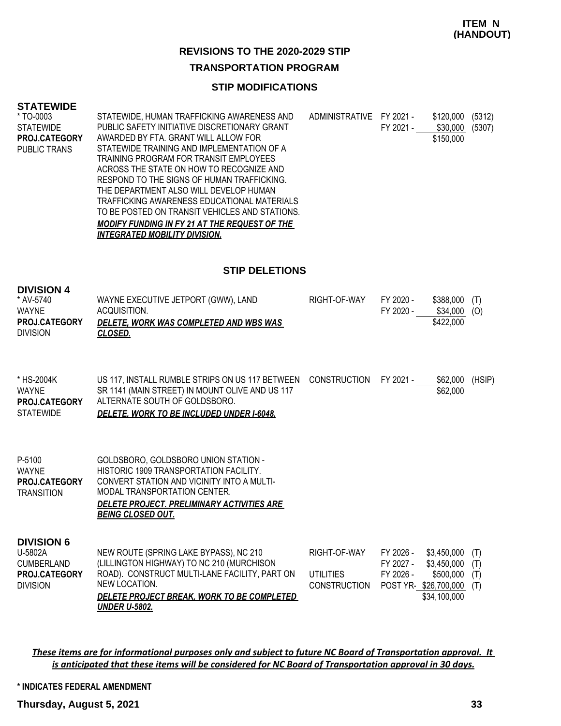### **ITEM N (HANDOUT)**

### **REVISIONS TO THE 2020-2029 STIP**

### **TRANSPORTATION PROGRAM**

### **STIP MODIFICATIONS**

#### **STATEWIDE**

| * TO-0003        | STATEWIDE, HUMAN TRAFFICKING AWARENESS AND           | ADMINISTRATIVE | FY 2021 - | \$120,000 | (5312) |
|------------------|------------------------------------------------------|----------------|-----------|-----------|--------|
| <b>STATEWIDE</b> | PUBLIC SAFETY INITIATIVE DISCRETIONARY GRANT         |                | FY 2021 - | \$30,000  | (5307) |
| PROJ.CATEGORY    | AWARDED BY FTA. GRANT WILL ALLOW FOR                 |                |           | \$150,000 |        |
| PUBLIC TRANS     | STATEWIDE TRAINING AND IMPLEMENTATION OF A           |                |           |           |        |
|                  | TRAINING PROGRAM FOR TRANSIT EMPLOYEES               |                |           |           |        |
|                  | ACROSS THE STATE ON HOW TO RECOGNIZE AND             |                |           |           |        |
|                  | RESPOND TO THE SIGNS OF HUMAN TRAFFICKING.           |                |           |           |        |
|                  | THE DEPARTMENT ALSO WILL DEVELOP HUMAN               |                |           |           |        |
|                  | TRAFFICKING AWARENESS EDUCATIONAL MATERIALS          |                |           |           |        |
|                  | TO BE POSTED ON TRANSIT VEHICLES AND STATIONS.       |                |           |           |        |
|                  | <b>MODIFY FUNDING IN FY 21 AT THE REQUEST OF THE</b> |                |           |           |        |
|                  | <i><b>INTEGRATED MOBILITY DIVISION.</b></i>          |                |           |           |        |
|                  |                                                      |                |           |           |        |

### **STIP DELETIONS**

| <b>DIVISION 4</b><br>* AV-5740<br><b>WAYNE</b><br>PROJ.CATEGORY<br><b>DIVISION</b>    | WAYNE EXECUTIVE JETPORT (GWW), LAND<br>ACQUISITION.<br>DELETE, WORK WAS COMPLETED AND WBS WAS<br>CLOSED.                                                                                                                                      | RIGHT-OF-WAY                                            | FY 2020 -<br>FY 2020 -                                      | \$388,000<br>\$34,000<br>\$422,000                      | (T)<br>(O)               |
|---------------------------------------------------------------------------------------|-----------------------------------------------------------------------------------------------------------------------------------------------------------------------------------------------------------------------------------------------|---------------------------------------------------------|-------------------------------------------------------------|---------------------------------------------------------|--------------------------|
| * HS-2004K<br><b>WAYNE</b><br>PROJ.CATEGORY<br><b>STATEWIDE</b>                       | US 117, INSTALL RUMBLE STRIPS ON US 117 BETWEEN<br>SR 1141 (MAIN STREET) IN MOUNT OLIVE AND US 117<br>ALTERNATE SOUTH OF GOLDSBORO.<br>DELETE. WORK TO BE INCLUDED UNDER I-6048.                                                              | CONSTRUCTION                                            | FY 2021 -                                                   | \$62,000<br>\$62,000                                    | (HSIP)                   |
| P-5100<br><b>WAYNE</b><br>PROJ.CATEGORY<br><b>TRANSITION</b>                          | GOLDSBORO, GOLDSBORO UNION STATION -<br>HISTORIC 1909 TRANSPORTATION FACILITY.<br>CONVERT STATION AND VICINITY INTO A MULTI-<br>MODAL TRANSPORTATION CENTER.<br><b>DELETE PROJECT. PRELIMINARY ACTIVITIES ARE</b><br><b>BEING CLOSED OUT.</b> |                                                         |                                                             |                                                         |                          |
| <b>DIVISION 6</b><br>U-5802A<br><b>CUMBERLAND</b><br>PROJ.CATEGORY<br><b>DIVISION</b> | NEW ROUTE (SPRING LAKE BYPASS), NC 210<br>(LILLINGTON HIGHWAY) TO NC 210 (MURCHISON<br>ROAD). CONSTRUCT MULTI-LANE FACILITY, PART ON<br>NEW LOCATION.<br>DELETE PROJECT BREAK. WORK TO BE COMPLETED<br><b>UNDER U-5802.</b>                   | RIGHT-OF-WAY<br><b>UTILITIES</b><br><b>CONSTRUCTION</b> | FY 2026 -<br>FY 2027 -<br>FY 2026 -<br>POST YR-\$26,700,000 | \$3,450,000<br>\$3,450,000<br>\$500,000<br>\$34,100,000 | (T)<br>(T)<br>(T)<br>(T) |

*These items are for informational purposes only and subject to future NC Board of Transportation approval. It is anticipated that these items will be considered for NC Board of Transportation approval in 30 days.*

**\* INDICATES FEDERAL AMENDMENT**

**Thursday, August 5, 2021 33**